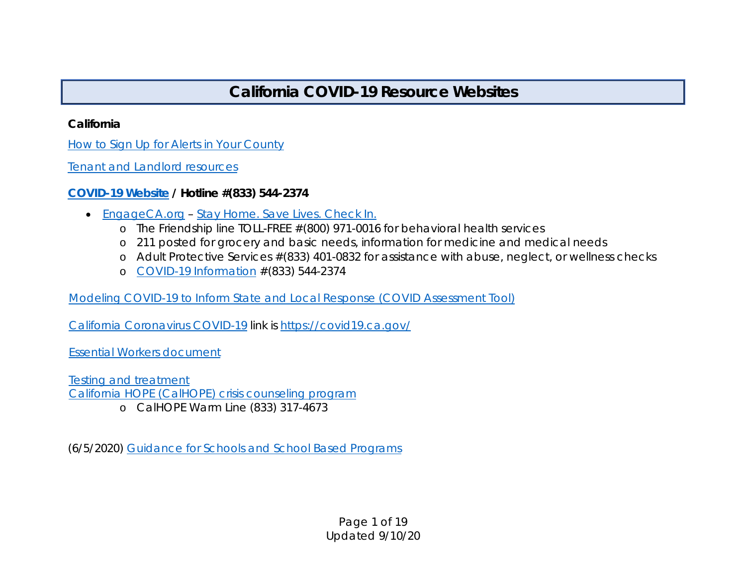# **California COVID-19 Resource Websites**

#### *California*

[How to Sign Up for Alerts in Your County](http://calalerts.org/signup.html)

[Tenant and Landlord resources](https://landlordtenant.dre.ca.gov/index.html)

### *[COVID-19 Website](https://www.covid19.ca.gov/) / Hotline #(833) 544-2374*

- [EngageCA.org](https://www.engageca.org/) [Stay Home. Save Lives. Check In.](https://www.engageca.org/check-in)
	- o The Friendship line TOLL-FREE #(800) 971-0016 for behavioral health services
	- o 211 posted for grocery and basic needs, information for medicine and medical needs
	- o Adult Protective Services #(833) 401-0832 for assistance with abuse, neglect, or wellness checks
	- o [COVID-19 Information](https://www.covid19.ca.gov/) #(833) 544-2374

[Modeling COVID-19 to Inform State and Local Response \(COVID Assessment Tool\)](https://covid19.ca.gov/data-and-tools/)

[California Coronavirus COVID-19](https://covid19.ca.gov/) link is<https://covid19.ca.gov/>

[Essential Workers document](https://covid19.ca.gov/img/EssentialCriticalInfrastructureWorkers.pdf)

[Testing and treatment](https://covid19.ca.gov/testing-and-treatment/#top) [California HOPE \(CalHOPE\) crisis counseling program](https://calhope.dhcs.ca.gov/)

o CalHOPE Warm Line (833) 317-4673

(6/5/2020) [Guidance for Schools and School Based Programs](https://gcc01.safelinks.protection.outlook.com/?url=https%3A%2F%2Fcovid19.ca.gov%2Fpdf%2Fguidance-schools.pdf&data=01%7C01%7CVance.Taylor%40CalOES.ca.gov%7C9683c51f41034cc85c0a08d80b7d1cc6%7Cebf268ae303647149f69c9fd0e9dc6b9%7C1&sdata=UN48d2ip92vhf4boAbdHH0T%2B5Z4C49EWJsL50QXd6YA%3D&reserved=0)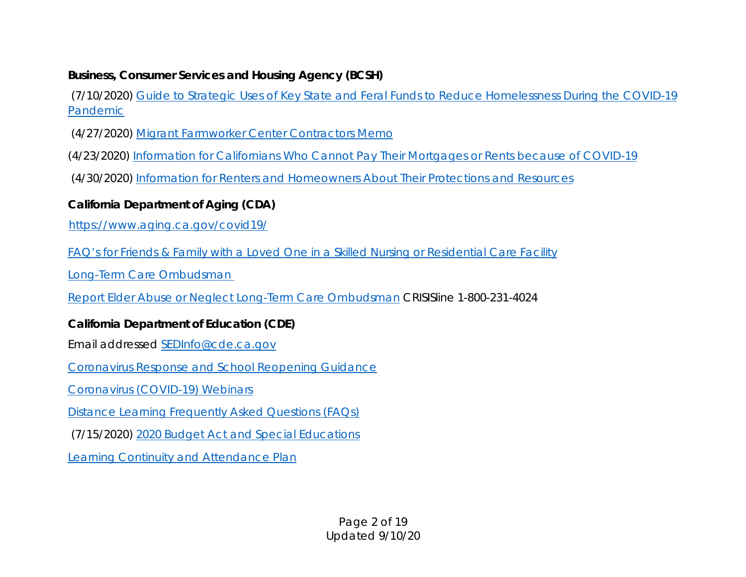## *Business, Consumer Services and Housing Agency (BCSH)*

(7/10/2020) [Guide to Strategic Uses of Key State and Feral Funds to Reduce Homelessness During the COVID-19](https://www.bcsh.ca.gov/hcfc/documents/covid19_strategic_guide.pdf)  [Pandemic](https://www.bcsh.ca.gov/hcfc/documents/covid19_strategic_guide.pdf)

- (4/27/2020) [Migrant Farmworker Center Contractors Memo](https://www.bcsh.ca.gov/coronavirus19/oms_social_distancing.pdf)
- (4/23/2020) [Information for Californians Who Cannot Pay Their Mortgages or Rents because of COVID-19](https://bcsh.ca.gov/coronavirus19/renters_mortgage_guidance.pdf)

(4/30/2020) [Information for Renters and Homeowners About Their Protections and Resources](https://bcsh.ca.gov/coronavirus19/renters_mortgage_guidance.pdf)

# *California Department of Aging (CDA)*

<https://www.aging.ca.gov/covid19/>

[FAQ's for Friends & Family with a Loved One in a Skilled Nursing or Residential Care Facility](https://www.aging.ca.gov/download.ashx?lE0rcNUV0zaaXLD5JZ%2F6Uw%3D%3D)

[Long-Term Care Ombudsman](https://www.aging.ca.gov/Providers_and_Partners/Long-Term_Care_Ombudsman/)

[Report Elder Abuse or Neglect Long-Term Care Ombudsman](https://aging.ca.gov/Programs_and_Services/Long-Term_Care_Ombudsman/Report_Elder_Abuse_or_Neglect/) CRISISline 1-800-231-4024

## *California Department of Education (CDE)*

Email addressed [SEDInfo@cde.ca.gov](mailto:SEDInfo@cde.ca.gov)

[Coronavirus Response and School Reopening Guidance](https://www.cde.ca.gov/ls/he/hn/coronavirus.asp)

[Coronavirus \(COVID-19\) Webinars](https://www.cde.ca.gov/ls/he/hn/covid19webinars.asp)

[Distance Learning Frequently Asked Questions \(FAQs\)](https://www.cde.ca.gov/ci/cr/dl/distlearningfaqs.asp)

(7/15/2020) [2020 Budget Act and Special Educations](https://www.cde.ca.gov/sp/se/lr/om071520.asp)

[Learning Continuity and Attendance Plan](https://www.cde.ca.gov/re/lc/learningcontattendplan.asp)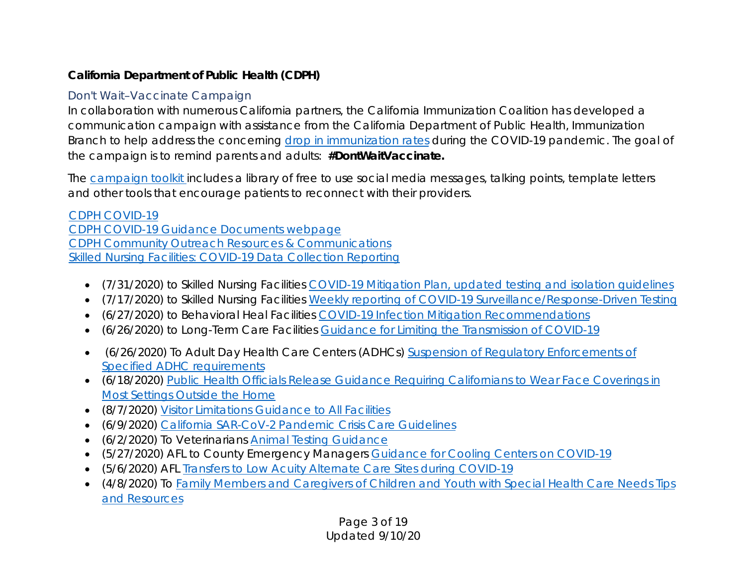# *California Department of Public Health (CDPH)*

# *Don't Wait–Vaccinate Campaign*

In collaboration with numerous California partners, the California Immunization Coalition has developed a communication campaign with assistance from the California Department of Public Health, Immunization Branch to help address the concerning [drop in immunization rates](https://gcc01.safelinks.protection.outlook.com/?url=https%3A%2F%2Furldefense.proofpoint.com%2Fv2%2Furl%3Fu%3Dhttps-3A__click.icptrack.com_icp_relay.php-3Fr-3D19837566-26msgid-3D171642-26act-3DGF5R-26c-3D1685203-26destination-3Dhttps-253A-252F-252Fwww.cdph.ca.gov-252FPrograms-252FOPA-252FPages-252FNR20-2D090.aspx-26cf-3D9345-26v-3D2851511b510ee74854e1e0592eaed891981aca8a4a299d40a9c5b1957228f469%26d%3DDwMFaQ%26c%3DLr0a7ed3egkbwePCNW4ROg%26r%3DaLL6bWESj5IbzqVbv4pPB0dJIsy1SRKJZtt7SIwlGQY%26m%3Djl_MEXOQuV5VDkpZBk8ZQneAQF_lvLkc4JwH-oE8LNc%26s%3D83nrxkU5X3Nfcsp7LXnG0E7Dmax6ZlRzMMc664dHFJ0%26e%3D&data=01%7C01%7CVance.Taylor%40CalOES.ca.gov%7Cd8744ca225d142ca278908d82a841715%7Cebf268ae303647149f69c9fd0e9dc6b9%7C1&sdata=u%2BTCPkflZPbR7a5WDeA9SfZDlBDxXSLiajxwR%2BbiZNQ%3D&reserved=0) during the COVID-19 pandemic. The goal of the campaign is to remind parents and adults: **#DontWaitVaccinate.**

The [campaign](https://gcc01.safelinks.protection.outlook.com/?url=https%3A%2F%2Furldefense.proofpoint.com%2Fv2%2Furl%3Fu%3Dhttps-3A__click.icptrack.com_icp_relay.php-3Fr-3D19837566-26msgid-3D171642-26act-3DGF5R-26c-3D1685203-26destination-3Dhttps-253A-252F-252Fwww.immunizeca.org-252FDontWaitVaccinate-252F-26cf-3D9345-26v-3Df525793c4aa004a3baac77114b1bbbf4920bbbb80bcf2d2dd213af657370c59d%26d%3DDwMFaQ%26c%3DLr0a7ed3egkbwePCNW4ROg%26r%3DaLL6bWESj5IbzqVbv4pPB0dJIsy1SRKJZtt7SIwlGQY%26m%3Djl_MEXOQuV5VDkpZBk8ZQneAQF_lvLkc4JwH-oE8LNc%26s%3DB5lZhqX9328smdK_q7Qrn9p_n_e66m6jNdVCF3SoRC4%26e%3D&data=01%7C01%7CVance.Taylor%40CalOES.ca.gov%7Cd8744ca225d142ca278908d82a841715%7Cebf268ae303647149f69c9fd0e9dc6b9%7C1&sdata=c8mpkVTd5qECuUldzaSnZuCaa0CLpUCq1IQydOeUYbY%3D&reserved=0) toolkit [in](https://gcc01.safelinks.protection.outlook.com/?url=https%3A%2F%2Furldefense.proofpoint.com%2Fv2%2Furl%3Fu%3Dhttps-3A__click.icptrack.com_icp_relay.php-3Fr-3D19837566-26msgid-3D171642-26act-3DGF5R-26c-3D1685203-26destination-3Dhttps-253A-252F-252Fwww.immunizeca.org-252FDontWaitVaccinate-252F-26cf-3D9345-26v-3Df525793c4aa004a3baac77114b1bbbf4920bbbb80bcf2d2dd213af657370c59d%26d%3DDwMFaQ%26c%3DLr0a7ed3egkbwePCNW4ROg%26r%3DaLL6bWESj5IbzqVbv4pPB0dJIsy1SRKJZtt7SIwlGQY%26m%3Djl_MEXOQuV5VDkpZBk8ZQneAQF_lvLkc4JwH-oE8LNc%26s%3DB5lZhqX9328smdK_q7Qrn9p_n_e66m6jNdVCF3SoRC4%26e%3D&data=01%7C01%7CVance.Taylor%40CalOES.ca.gov%7Cd8744ca225d142ca278908d82a841715%7Cebf268ae303647149f69c9fd0e9dc6b9%7C1&sdata=c8mpkVTd5qECuUldzaSnZuCaa0CLpUCq1IQydOeUYbY%3D&reserved=0)cludes a library of free to use social media messages, talking points, template letters and other tools that encourage patients to reconnect with their providers.

[CDPH COVID-19](file://Intranet.Calema.ca.gov/Share/OAFN/Activations/2020%20COVID%2019/Resources/CDPH%20COVID-19) [CDPH COVID-19 Guidance Documents webpage](https://www.cdph.ca.gov/Programs/CID/DCDC/Pages/Guidance.aspx) [CDPH Community Outreach Resources & Communications](https://www.cdph.ca.gov/Programs/CID/DCDC/Pages/COVID-19/Resources.aspx) [Skilled Nursing Facilities: COVID-19 Data Collection Reporting](https://www.cdph.ca.gov/Programs/CID/DCDC/Pages/COVID-19/SNFsCOVID_19.aspx)

- (7/31/2020) to Skilled Nursing Facilities [COVID-19 Mitigation Plan, updated testing and isolation guidelines](https://www.cdph.ca.gov/Programs/CHCQ/LCP/Pages/AFL-20-53.aspx)
- (7/17/2020) to Skilled Nursing Facilities [Weekly reporting of COVID-19 Surveillance/Response-Driven Testing](https://www.cdph.ca.gov/Programs/CHCQ/LCP/Pages/AFL-20-60.aspx)
- (6/27/2020) to Behavioral Heal Facilities [COVID-19 Infection Mitigation Recommendations](https://www.cdph.ca.gov/Programs/CID/DCDC/Pages/COVID-19/InfectionMitigationinBehavioralHealthFacilitiesCOVID19FAQs.aspx)
- (6/26/2020) to Long-Term Care Facilities [Guidance for Limiting the Transmission of COVID-19](https://www.cdph.ca.gov/Programs/CHCQ/LCP/Pages/AFL-20-22.aspx)
- (6/26/2020) To Adult Day Health Care Centers (ADHCs) [Suspension of Regulatory Enforcements of](https://www.cdph.ca.gov/Programs/CHCQ/LCP/Pages/AFL-20-34.aspx)  [Specified ADHC requirements](https://www.cdph.ca.gov/Programs/CHCQ/LCP/Pages/AFL-20-34.aspx)
- (6/18/2020) [Public Health Officials Release](https://www.cdph.ca.gov/Programs/OPA/Pages/NR20-128.aspx) Guidance Requiring Californians to Wear Face Coverings in [Most Settings Outside the Home](https://www.cdph.ca.gov/Programs/OPA/Pages/NR20-128.aspx)
- (8/7/2020) [Visitor Limitations Guidance to All Facilities](https://www.cdph.ca.gov/Programs/CHCQ/LCP/Pages/AFL-20-38.aspx)
- (6/9/2020) [California SAR-CoV-2 Pandemic Crisis Care Guidelines](https://www.cdph.ca.gov/Programs/CID/DCDC/CDPH%20Document%20Library/COVID-19/California%20SARS-CoV-2%20Crisis%20Care%20Guidelines%20-June%208%202020.pdf)
- (6/2/2020) To Veterinarians [Animal Testing Guidance](https://www.cdph.ca.gov/Programs/CID/DCDC/Pages/COVID-19/SARSCoV2(causativeagentforhumanCoVID19)TestinginAnimals.aspx)
- (5/27/2020) AFL to County Emergency Managers [Guidance for Cooling Centers on COVID-19](https://www.cdph.ca.gov/Programs/CID/DCDC/Pages/COVID-19/GuidanceforCoolingCenters.aspx)
- (5/6/2020) AFL [Transfers to Low Acuity Alternate Care Sites during COVID-19](https://www.cdph.ca.gov/Programs/CHCQ/LCP/Pages/AFL-20-48.aspx)
- (4/8/2020) To Family Members and Caregivers of [Children and Youth with Special Health Care Needs Tips](https://www.cdph.ca.gov/Programs/CID/DCDC/Pages/COVID-19/TipsandResourcesforFamilyMembersandCaregiversofChildrenandYouthwithSpecialHealthCareNeeds.aspx)  [and Resources](https://www.cdph.ca.gov/Programs/CID/DCDC/Pages/COVID-19/TipsandResourcesforFamilyMembersandCaregiversofChildrenandYouthwithSpecialHealthCareNeeds.aspx)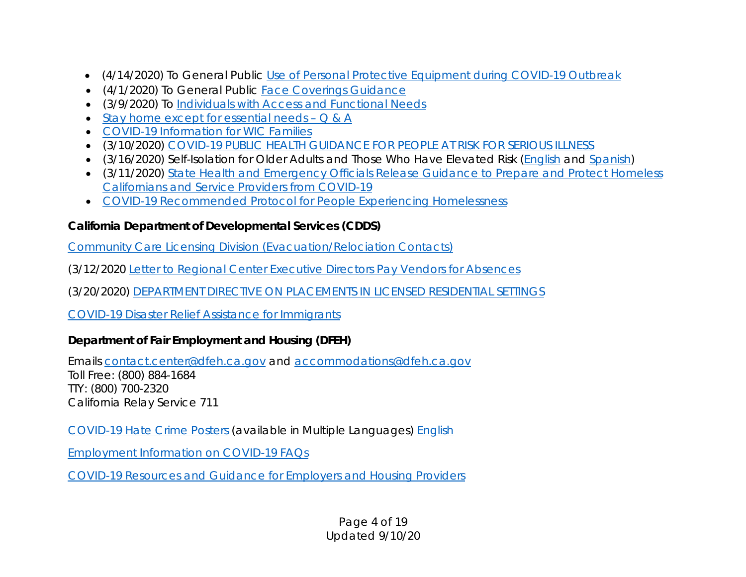- (4/14/2020) To General Public [Use of Personal Protective Equipment during COVID-19 Outbreak](https://www.cdph.ca.gov/Programs/CID/DCDC/Pages/COVID-19/UseofPersonalProtectiveEquipmentduringCOVID19.aspx)
- (4/1/2020) To General Public [Face Coverings Guidance](https://www.cdph.ca.gov/Programs/CID/DCDC/Pages/Face-Coverings-Guidance.aspx)
- (3/9/2020) To [Individuals with Access and Functional Needs](https://www.cdph.ca.gov/Programs/CID/DCDC/Pages/COVID-19/PublicHealthGuidanceforIndividualswithAccessandFunctionalNeeds.aspx)
- [Stay home except for essential needs](https://covid19.ca.gov/stay-home-except-for-essential-needs/) Q & A
- [COVID-19 Information for WIC Families](https://www.cdph.ca.gov/Programs/CFH/DWICSN/Pages/WICCovid19Info.aspx)
- (3/10/2020) [COVID-19 PUBLIC HEALTH GUIDANCE FOR PEOPLE AT RISK FOR SERIOUS ILLNESS](https://www.cdph.ca.gov/Programs/CID/DCDC/CDPH%20Document%20Library/High%20Risk%20Populations%20Guidance%20ADA%20Compliant%2003.11.20.pdf)
- (3/16/2020) Self-Isolation for Older Adults and Those Who Have Elevated Risk [\(English](https://www.cdph.ca.gov/Programs/CID/DCDC/Pages/COVID-19/PublicHealthGuidanceSelfIsolationforOlderAdultsandThoseWhoHaveElevatedRisk.aspx) and [Spanish\)](https://www.cdph.ca.gov/Programs/CID/DCDC/Pages/COVID-19/Aislamiento-para-Adultos-Mayores-y-Personas-que-Tienen-un-Riesgo-Elevado.aspx)
- (3/11/2020) [State Health and Emergency Officials Release Guidance to](https://www.cdph.ca.gov/Programs/OPA/Pages/NR20-018.aspx) Prepare and Protect Homeless [Californians and Service Providers from COVID-19](https://www.cdph.ca.gov/Programs/OPA/Pages/NR20-018.aspx)
- [COVID-19 Recommended Protocol for People Experiencing Homelessness](https://www.cdph.ca.gov/Programs/CID/DCDC/CDPH%20Document%20Library/COVID-19/flowchart-COVID19-homelessness.pdf)

### *California Department of Developmental Services (CDDS)*

[Community Care Licensing Division \(Evacuation/Relociation Contacts\)](https://www.cdss.ca.gov/inforesources/community-care-licensing)

(3/12/2020 [Letter to Regional Center Executive Directors](https://www.dds.ca.gov/wp-content/uploads/2020/03/COVID-19_2020StatewideStateofEmergency_20200312.pdf) Pay Vendors for Absences

(3/20/2020) [DEPARTMENT DIRECTIVE ON PLACEMENTS IN LICENSED RESIDENTIAL SETTINGS](https://www.dds.ca.gov/wp-content/uploads/2020/03/DDSDirective_RCPlacementRequests_03202020.pdf)

[COVID-19 Disaster Relief Assistance for Immigrants](https://www.cdss.ca.gov/inforesources/immigration/covid-19-drai)

## *Department of Fair Employment and Housing (DFEH)*

Emails [contact.center@dfeh.ca.gov](mailto:contact.center@dfeh.ca.gov) and [accommodations@dfeh.ca.gov](mailto:accommodations@dfeh.ca.gov) Toll Free: (800) 884-1684 TTY: (800) 700-2320 California Relay Service 711

[COVID-19 Hate Crime Posters](https://www.dfeh.ca.gov/covid-19-resources-and-guidance/) (available in Multiple Languages) [English](https://www.dfeh.ca.gov/wp-content/uploads/sites/32/2020/05/CombattingHateCrimesDuringCOVID19_ENG.pdf)

[Employment Information on COVID-19](https://www.dfeh.ca.gov/wp-content/uploads/sites/32/2020/03/DFEH-Employment-Information-on-COVID-19-FAQ_ENG.pdf) FAQs

[COVID-19 Resources and Guidance for Employers and Housing Providers](https://www.dfeh.ca.gov/covid-19-resources-and-guidance/)

Page 4 of 19 Updated 9/10/20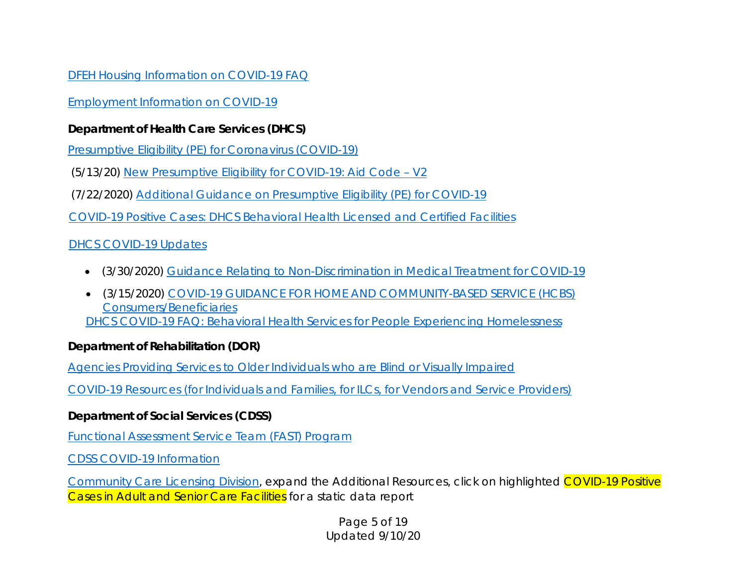### [DFEH Housing Information on COVID-19](https://www.dfeh.ca.gov/wp-content/uploads/sites/32/2020/04/DFEH-Housing-Information-on-COVID-19-FAQ_ENG.pdf) FAQ

## [Employment Information on COVID-19](https://www.dfeh.ca.gov/wp-content/uploads/sites/32/2020/03/DFEH-Employment-Information-on-COVID-19-FAQ_ENG.pdf)

# *Department of Health Care Services (DHCS)*

[Presumptive Eligibility \(PE\) for Coronavirus \(COVID-19\)](https://www.dhcs.ca.gov/services/medi-cal/eligibility/Pages/COVID-19-Presumptive-Eligibility-Program.aspx)

(5/13/20) [New Presumptive Eligibility for COVID-19: Aid Code –](https://files.medi-cal.ca.gov/pubsdoco/newsroom/newsroom_30339_27.aspx) V2

(7/22/2020) [Additional Guidance on Presumptive Eligibility \(PE\) for COVID-19](https://files.medi-cal.ca.gov/pubsdoco/newsroom/newsroom_30339_52.aspx)

[COVID-19 Positive Cases: DHCS Behavioral Health Licensed and Certified Facilities](https://data.chhs.ca.gov/dataset/covid-19-dhcs-behavioral-health-licensed-and-certified-facilities)

# [DHCS COVID-19 Updates](https://www.dhcs.ca.gov/Pages/DHCS-COVID%E2%80%9119-Response.aspx)

- (3/30/2020) [Guidance Relating to Non-Discrimination in Medical Treatment for COVID-19](https://www.dhcs.ca.gov/Documents/COVID-19/Joint-Bullletin-Medical-Treatment-for-COVID-19-033020.pdf)
- (3/15/2020) [COVID-19 GUIDANCE FOR HOME AND COMMUNITY-BASED SERVICE \(HCBS\)](https://www.dhcs.ca.gov/services/ltc/Documents/DHCS-HCBS-Consumer-Guidance-for-COVID.pdf)  [Consumers/Beneficiaries](https://www.dhcs.ca.gov/services/ltc/Documents/DHCS-HCBS-Consumer-Guidance-for-COVID.pdf) [DHCS COVID-19 FAQ: Behavioral Health Services for People Experiencing Homelessness](https://www.dhcs.ca.gov/Documents/COVID-19/FAQ-Behavioral-Health-Services-for-Formerly-Homeless-Persons-under-Project-Roomkey.pdf)

## *Department of Rehabilitation (DOR)*

[Agencies Providing Services to Older Individuals who are Blind or Visually Impaired](https://www.dor.ca.gov/Content/DorIncludes/documents/OlderIndividualswhoareBlind/Agencies_and_Counties_Served_FFY18_19.rtf)

[COVID-19 Resources \(for Individuals and Families, for ILCs, for Vendors and Service Providers\)](https://www.dor.ca.gov/Home/COVID19Resources)

## *Department of Social Services (CDSS)*

[Functional Assessment Service Team \(FAST\) Program](https://www.cdss.ca.gov/inforesources/mass-care-and-shelter/fast)

[CDSS COVID-19 Information](https://www.cdss.ca.gov/)

[Community Care Licensing Division,](https://www.cdss.ca.gov/inforesources/community-care-licensing) expand the Additional Resources, click on highlighted COVID-19 Positive Cases in Adult and Senior Care Facilities for a static data report

> Page 5 of 19 Updated 9/10/20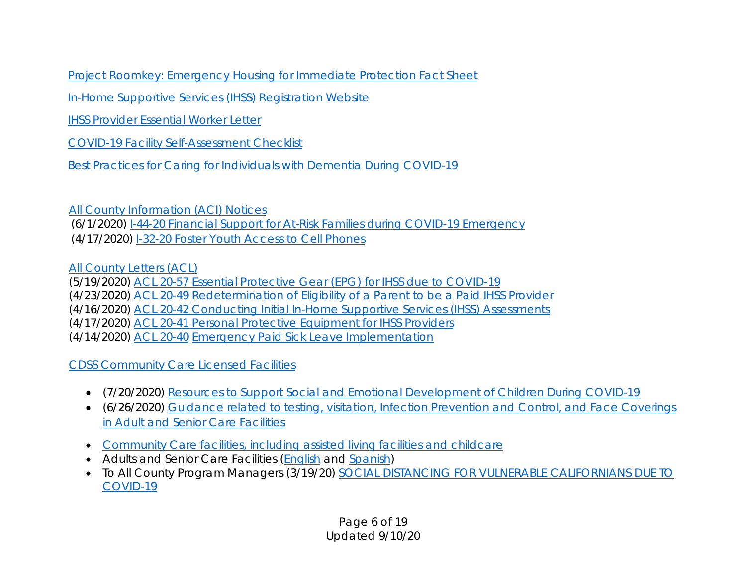[Project Roomkey: Emergency Housing for Immediate Protection Fact Sheet](https://www.cdss.ca.gov/Portals/9/FEMA/Project-Roomkey-Fact-Sheet.pdf)

[In-Home Supportive Services \(IHSS\) Registration Website](https://www.etimesheets.ihss.ca.gov/login)

[IHSS Provider Essential Worker Letter](https://cdss.ca.gov/Portals/13/Homepage/IHSS-Provider-Essential-Worker-Letter.pdf)

[COVID-19 Facility Self-Assessment Checklist](https://www.cdss.ca.gov/Portals/9/CCLD/COVID/COVID-19_FacilitySelfAssessment_Guide.pdf)

[Best Practices for Caring for Individuals with Dementia During COVID-19](https://www.cdss.ca.gov/Portals/9/CCLD/COVID/Accessible_BestPracticesDementiaCare_COVID-19.pdf)

[All County Information \(ACI\) Notices](https://www.cdss.ca.gov/inforesources/letters-regulations/letters-and-notices/all-county-information-notices/2020-all-county-information-notices) (6/1/2020) [I-44-20 Financial Support for At-Risk Families during COVID-19 Emergency](https://cdss.ca.gov/Portals/9/Additional-Resources/Letters-and-Notices/ACINs/2020/I-44_20.pdf) (4/17/2020) [I-32-20 Foster Youth Access to Cell Phones](https://cdss.ca.gov/Portals/9/Additional-Resources/Letters-and-Notices/ACINs/2020/I-32-20.pdf)

[All County Letters \(ACL\)](https://www.cdss.ca.gov/inforesources/2020-all-county-letters)

(5/19/2020) [ACL 20-57 Essential Protective Gear \(EPG\) for IHSS due to COVID-19](https://www.cdss.ca.gov/Portals/9/Additional-Resources/Letters-and-Notices/ACLs/2020/20-57.pdf)

(4/23/2020) [ACL 20-49 Redetermination of Eligibility of a Parent to be a Paid IHSS Provider](https://www.cdss.ca.gov/Portals/9/Additional-Resources/Letters-and-Notices/ACLs/2020/20-49.pdf)

(4/16/2020) [ACL 20-42 Conducting Initial In-Home Supportive Services \(IHSS\) Assessments](https://www.cdss.ca.gov/Portals/9/Additional-Resources/Letters-and-Notices/ACLs/2020/20-42.pdf)

(4/17/2020) [ACL 20-41 Personal Protective Equipment for IHSS Providers](https://www.cdss.ca.gov/Portals/9/Additional-Resources/Letters-and-Notices/ACLs/2020/20-41.pdf)

(4/14/2020) [ACL 20-40](https://www.cdss.ca.gov/Portals/9/Additional-Resources/Letters-and-Notices/ACLs/2020/20-40.pdf) [Emergency Paid Sick Leave Implementation](https://www.cdss.ca.gov/Portals/9/Additional-Resources/Letters-and-Notices/ACLs/2020/20-40.pdf)

## [CDSS Community Care Licensed Facilities](https://www.cdss.ca.gov/inforesources/community-care-licensing/policy/provider-information-notices/home-care-services)

- (7/20/2020) [Resources to Support Social and Emotional Development of Children During COVID-19](https://www.cdss.ca.gov/Portals/9/CCLD/PINs/2020/CCP/PIN%2020-14-CCP.pdf?ver=2020-07-20-141848-837)
- (6/26/2020) [Guidance related to testing, visitation, Infection Prevention and Control, and Face Coverings](https://www.cdss.ca.gov/Portals/9/CCLD/PINs/2020/ASC/PIN-20-23-ASC.pdf)  [in Adult and Senior Care Facilities](https://www.cdss.ca.gov/Portals/9/CCLD/PINs/2020/ASC/PIN-20-23-ASC.pdf)
- [Community Care facilities, including assisted living facilities and childcare](https://www.cdss.ca.gov/inforesources/community-care-licensing/policy/provider-information-notices/home-care-services)
- Adults and Senior Care Facilities [\(English](https://www.cdss.ca.gov/Portals/9/CCLD/PINs/2020/ASC/PIN%2020-07-ASC%20COVID19%20Implementation%20with%20Statewide%20Waiver%20.pdf?ver=2020-03-13-175747-783) and [Spanish\)](https://www.cdph.ca.gov/Programs/CID/DCDC/Pages/COVID-19/Proveedores-de-Cuidado-a-los-Adultos-Mayores.aspx)
- To All County Program Managers (3/19/20) SOCIAL DISTANCING FOR VULNERABLE CALIFORNIANS DUE TO [COVID-19](https://cdss.ca.gov/Portals/13/Homepage/IHSSPML_GovEO_031920.pdf)

Page 6 of 19 Updated 9/10/20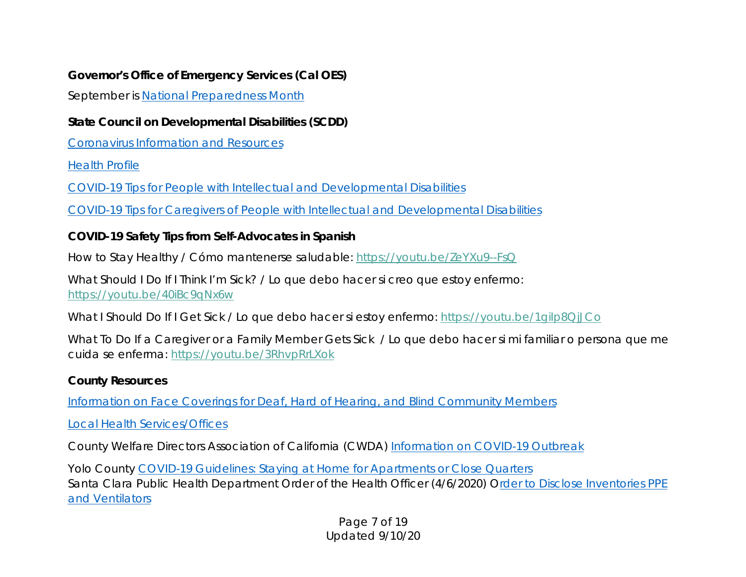### *Governor's Office of Emergency Services (Cal OES)*

September is [National Preparedness Month](https://www.caloes.ca.gov/ICESite/Pages/National-Preparedness-Month.aspx)

## *State Council on Developmental Disabilities (SCDD)*

[Coronavirus Information and Resources](https://www.dds.ca.gov/corona-virus-information-and-resources/)

[Health Profile](https://scdd.ca.gov/wp-content/uploads/sites/33/2020/06/health-profile.pdf)

[COVID-19 Tips for People with Intellectual and Developmental Disabilities](https://scdd.ca.gov/wp-content/uploads/sites/33/2020/06/tips.pdf)

[COVID-19 Tips for Caregivers of People with Intellectual and Developmental Disabilities](https://scdd.ca.gov/wp-content/uploads/sites/33/2020/06/caregiver-tips.pdf)

# *COVID-19 Safety Tips from Self-Advocates in Spanish*

How to Stay Healthy / Cómo mantenerse saludable: [https://youtu.be/ZeYXu9--FsQ](https://gcc01.safelinks.protection.outlook.com/?url=http%3A%2F%2Fr20.rs6.net%2Ftn.jsp%3Ff%3D001xuuFECEU3E4SEwad8JuajhaJkJ0g1Du2x-Qkz5ho8dbQ6IuPHmWrcKBs7Oq1PWXgSwe0dLUt1ajd0PVkGcxHvARKeuKcHV23rO589kNd6biMRkS2SF-VbHW091f5id1bRFARECA9IKMpSUrgenD9rA%3D%3D%26c%3D6tBHulGrg5bv6MJXX30uC2B6AksWBfvv4uYdJsQAgLCmKCt0fCnmeQ%3D%3D%26ch%3DjzDQkv2R_fqiJGu01hI-Hd0RdUnPngu-ZEInem8YGXGdWVPHvnp-fQ%3D%3D&data=01%7C01%7Cvance.taylor%40caloes.ca.gov%7C11abe2b7cba34ed4387708d7ee24b2a9%7Cebf268ae303647149f69c9fd0e9dc6b9%7C1&sdata=%2Fsx0alhNE9sXjcF9QHLTU1ALQy1mse9yhMZZ3hzT3rM%3D&reserved=0)

What Should I Do If I Think I'm Sick? / Lo que debo hacer si creo que estoy enfermo: [https://youtu.be/40iBc9qNx6w](https://gcc01.safelinks.protection.outlook.com/?url=http%3A%2F%2Fr20.rs6.net%2Ftn.jsp%3Ff%3D001xuuFECEU3E4SEwad8JuajhaJkJ0g1Du2x-Qkz5ho8dbQ6IuPHmWrcKBs7Oq1PWXgqysMdwn8IBN0_0zgYCvUEcVDrknQvNZFN83N9qip-oOcYrDfy0ZqoWBlS4FV2kZKCMG00y5wE6gtzuEkhwIsHg%3D%3D%26c%3D6tBHulGrg5bv6MJXX30uC2B6AksWBfvv4uYdJsQAgLCmKCt0fCnmeQ%3D%3D%26ch%3DjzDQkv2R_fqiJGu01hI-Hd0RdUnPngu-ZEInem8YGXGdWVPHvnp-fQ%3D%3D&data=01%7C01%7Cvance.taylor%40caloes.ca.gov%7C11abe2b7cba34ed4387708d7ee24b2a9%7Cebf268ae303647149f69c9fd0e9dc6b9%7C1&sdata=cn%2FEzh50eyOqd24swvoE4IY3dI9Gk%2F3CYBI%2FjBB7Brw%3D&reserved=0)

What I Should Do If I Get Sick / Lo que debo hacer si estoy enfermo: https://youtu.be/1gilp8QjJCo

What To Do If a Caregiver or a Family Member Gets Sick / Lo que debo hacer si mi familiar o persona que me cuida se enferma: [https://youtu.be/3RhvpRrLXok](https://gcc01.safelinks.protection.outlook.com/?url=http%3A%2F%2Fr20.rs6.net%2Ftn.jsp%3Ff%3D001xuuFECEU3E4SEwad8JuajhaJkJ0g1Du2x-Qkz5ho8dbQ6IuPHmWrcKBs7Oq1PWXg_wRAqNajzmZgj9DKiGsCpC-M9V3J0C1nAN-GrRHYjijw_YmpGwYwCcCC2027R0oT42ZKqdn6aizSj6tbZSc7mA%3D%3D%26c%3D6tBHulGrg5bv6MJXX30uC2B6AksWBfvv4uYdJsQAgLCmKCt0fCnmeQ%3D%3D%26ch%3DjzDQkv2R_fqiJGu01hI-Hd0RdUnPngu-ZEInem8YGXGdWVPHvnp-fQ%3D%3D&data=01%7C01%7Cvance.taylor%40caloes.ca.gov%7C11abe2b7cba34ed4387708d7ee24b2a9%7Cebf268ae303647149f69c9fd0e9dc6b9%7C1&sdata=620GmYOtgYL%2BFJoNS7oMSiH5rY86j38xEL%2F3ZeYQ3ek%3D&reserved=0)

## *County Resources*

[Information on Face Coverings for Deaf, Hard of Hearing, and Blind Community Members](https://www.kingcounty.gov/depts/health/covid-19/care/%7E/media/depts/health/communicable-diseases/documents/c19/face-coverings-guidance-ASL.ashx)

[Local Health Services/Offices](https://www.cdph.ca.gov/Pages/LocalHealthServicesAndOffices.aspx)

County Welfare Directors Association of California (CWDA) [Information on COVID-19 Outbreak](https://www.cwda.org/budget-priority/information-covid-19-outbreak)

Yolo County [COVID-19 Guidelines: Staying at Home for Apartments or Close Quarters](https://www.yolocounty.org/Home/ShowDocument?id=62767) Santa Clara Public Health Department Order of the Health Officer (4/6/2020) [Order to Disclose Inventories PPE](https://www.sccgov.org/sites/covid19/Documents/04-06-20-order-disclose-inventories-ppe-ventilators.pdf)  [and Ventilators](https://www.sccgov.org/sites/covid19/Documents/04-06-20-order-disclose-inventories-ppe-ventilators.pdf)

> Page 7 of 19 Updated 9/10/20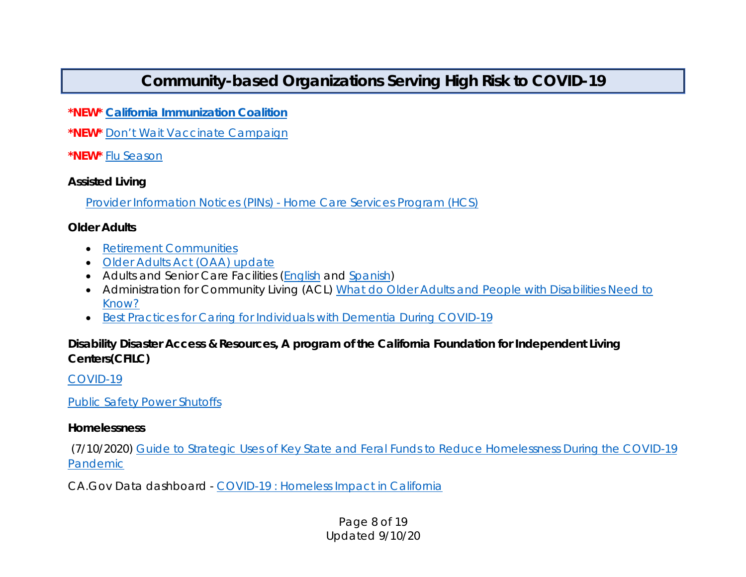# **Community-based Organizations Serving High Risk to COVID-19**

**\*NEW\*** *[California Immunization Coalition](https://www.immunizeca.org/)*

**\*NEW\*** [Don't Wait Vaccinate Campaign](https://www.immunizeca.org/dontwaitvaccinate/)

**\*NEW\*** [Flu Season](https://www.immunizeca.org/dontwaitvaccinate-flu/)

#### *Assisted Living*

Provider Information Notices (PINs) - [Home Care Services Program \(HCS\)](https://www.cdss.ca.gov/inforesources/community-care-licensing/policy/provider-information-notices/home-care-services)

#### *Older Adults*

- Retirement Communities
- [Older Adults Act \(OAA\) update](https://www.hhs.gov/about/news/2020/03/24/hhs-announces-grants-to-provide-meals-for-older-adults.html)
- Adults and Senior Care Facilities [\(English](https://www.cdss.ca.gov/Portals/9/CCLD/PINs/2020/ASC/PIN%2020-07-ASC%20COVID19%20Implementation%20with%20Statewide%20Waiver%20.pdf?ver=2020-03-13-175747-783) and [Spanish\)](https://www.cdph.ca.gov/Programs/CID/DCDC/Pages/COVID-19/Proveedores-de-Cuidado-a-los-Adultos-Mayores.aspx)
- Administration for Community Living (ACL) What do Older Adults and People with Disabilities Need to [Know?](https://acl.gov/COVID-19)
- [Best Practices for Caring for Individuals with Dementia During COVID-19](https://www.cdss.ca.gov/Portals/9/CCLD/COVID/Accessible_BestPracticesDementiaCare_COVID-19.pdf)

### *Disability Disaster Access & Resources, A program of the California Foundation for Independent Living Centers(CFILC)*

[COVID-19](https://disabilitydisasteraccess.org/covid-19/)

[Public Safety Power Shutoffs](https://disabilitydisasteraccess.org/public-safety-power-shutoffs/)

#### *Homelessness*

(7/10/2020) [Guide to Strategic Uses of Key State and Feral Funds to Reduce Homelessness During the COVID-19](https://www.bcsh.ca.gov/hcfc/documents/covid19_strategic_guide.pdf)  [Pandemic](https://www.bcsh.ca.gov/hcfc/documents/covid19_strategic_guide.pdf)

CA.Gov Data dashboard - [COVID-19 : Homeless Impact in California](https://public.tableau.com/views/COVID-19HomelessImpactDashboard/HomelessImpact?:embed=y&:showVizHome=no)

#### Page 8 of 19 Updated 9/10/20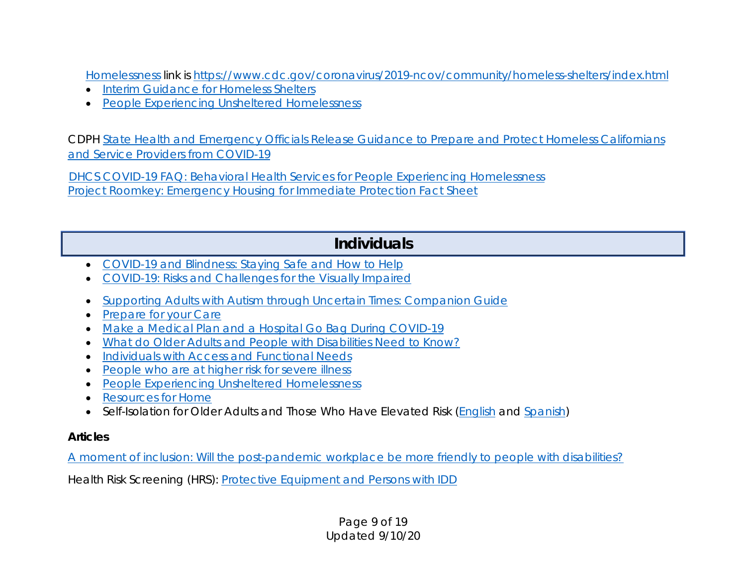[Homelessness](https://www.cdc.gov/coronavirus/2019-ncov/community/homeless-shelters/index.html) link is [https://www.cdc.gov/coronavirus/2019-ncov/community/homeless-shelters/index.html](https://gcc01.safelinks.protection.outlook.com/?url=https%3A%2F%2Fwww.cdc.gov%2Fcoronavirus%2F2019-ncov%2Fcommunity%2Fhomeless-shelters%2Findex.html&data=01%7C01%7CVance.Taylor%40CalOES.ca.gov%7C79c848c4a33644e2edb708d7d266741f%7Cebf268ae303647149f69c9fd0e9dc6b9%7C1&sdata=Bl0x6zBp%2ByQR173oJAPEym4N9ce7QQuibdYLqO6mCJU%3D&reserved=0)

- **[Interim Guidance for Homeless Shelters](https://www.cdc.gov/coronavirus/2019-ncov/community/homeless-shelters/plan-prepare-respond.html)**
- [People Experiencing Unsheltered Homelessness](https://www.cdc.gov/coronavirus/2019-ncov/community/homeless-shelters/unsheltered-homelessness.html)

CDPH [State Health and Emergency Officials Release Guidance to Prepare and Protect Homeless Californians](https://www.cdph.ca.gov/Programs/OPA/Pages/NR20-018.aspx)  [and Service Providers from COVID-19](https://www.cdph.ca.gov/Programs/OPA/Pages/NR20-018.aspx)

[DHCS COVID-19 FAQ: Behavioral Health Services for People Experiencing Homelessness](https://www.dhcs.ca.gov/Documents/COVID-19/FAQ-Behavioral-Health-Services-for-Formerly-Homeless-Persons-under-Project-Roomkey.pdf) [Project Roomkey: Emergency Housing for Immediate Protection Fact Sheet](https://www.cdss.ca.gov/Portals/9/FEMA/Project-Roomkey-Fact-Sheet.pdf)

# **Individuals**

- [COVID-19 and Blindness: Staying Safe and How to Help](https://www.wsblind.org/blog/2020/3/26/covid-19-and-blindness-staying-safe-and-how-to-help)
- [COVID-19: Risks and Challenges for the Visually Impaired](https://www.usaba.org/covid-19-risks-and-challenges-for-the-visually-impaired/)
- [Supporting Adults with Autism through Uncertain Times: Companion Guide](https://drive.google.com/file/d/1zYCXinqxTUCaejIFApbIHnFeuVfZcFGo/view)
- **[Prepare for your Care](https://prepareforyourcare.org/covid-19)**
- [Make a Medical Plan and a Hospital Go Bag During COVID-19](https://prepareforyourcare.org/covid-19)
- [What do Older Adults and People with Disabilities Need to Know?](https://acl.gov/COVID-19)
- [Individuals with Access and Functional Needs](https://www.cdph.ca.gov/Programs/CID/DCDC/Pages/COVID-19/PublicHealthGuidanceforIndividualswithAccessandFunctionalNeeds.aspx)
- [People who are at higher risk for severe illness](https://www.cdc.gov/coronavirus/2019-ncov/need-extra-precautions/people-at-higher-risk.html?CDC_AA_refVal=https%3A%2F%2Fwww.cdc.gov%2Fcoronavirus%2F2019-ncov%2Fspecific-groups%2Fhigh-risk-complications.html)
- [People Experiencing Unsheltered Homelessness](https://www.cdc.gov/coronavirus/2019-ncov/community/homeless-shelters/unsheltered-homelessness.html)
- **[Resources for Home](https://www.cdc.gov/coronavirus/2019-ncov/community/home/index.html)**
- Self-Isolation for Older Adults and Those Who Have Elevated Risk [\(English](https://www.cdph.ca.gov/Programs/CID/DCDC/Pages/COVID-19/PublicHealthGuidanceSelfIsolationforOlderAdultsandThoseWhoHaveElevatedRisk.aspx) and [Spanish\)](https://www.cdph.ca.gov/Programs/CID/DCDC/Pages/COVID-19/Aislamiento-para-Adultos-Mayores-y-Personas-que-Tienen-un-Riesgo-Elevado.aspx)

#### *Articles*

[A moment of inclusion: Will the post-pandemic workplace be more friendly to people with disabilities?](https://www.hrdive.com/news/a-moment-of-inclusion-will-the-post-pandemic-workplace-be-more-friendly/580788/)

Health Risk Screening (HRS): [Protective Equipment and Persons with IDD](https://hrstonline.com/protective-equipment-and-persons-with-idd/)

Page 9 of 19 Updated 9/10/20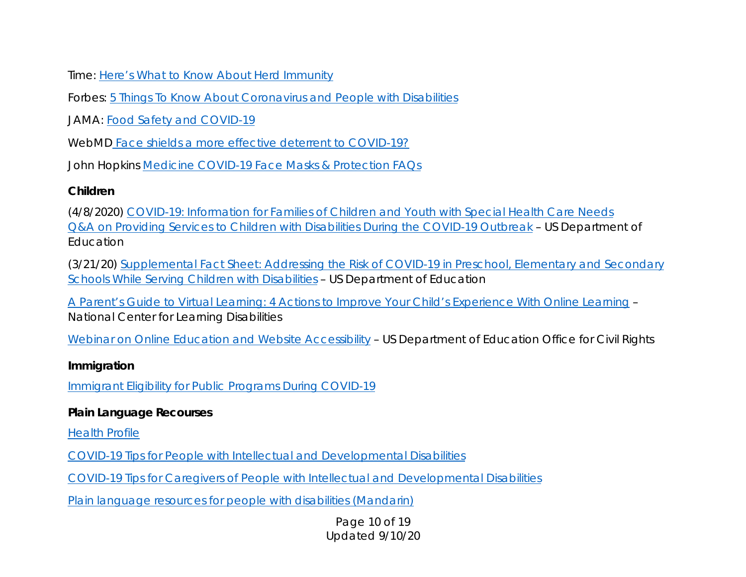Time: [Here's What to Know About Herd Immunity](https://time.com/5825386/herd-immunity-coronavirus-covid-19/)

Forbes: [5 Things To Know About Coronavirus and People with Disabilities](https://www.forbes.com/sites/andrewpulrang/2020/03/08/5-things-to-know-about-coronavirus-and-people-with-disabilities/#52832c231d21)

JAMA: [Food Safety and COVID-19](https://jamanetwork.com/journals/jama/fullarticle/2764560?guestAccessKey=47542fdc-ed20-46fb-b2e0-e48c4abf5f3e&utm_source=silverchair&utm_medium=email&utm_campaign=article_alert-jama&utm_content=olf&utm_term=040920)

WebMD [Face shields a more effective deterrent to COVID-19?](https://www.webmd.com/lung/news/20200430/face-shields-a-more-effective-deterrent-to-covid#1)

John Hopkins [Medicine COVID-19 Face Masks & Protection FAQs](https://www.hopkinsmedicine.org/health/conditions-and-diseases/coronavirus/coronavirus-face-masks-what-you-need-to-know)

#### *Children*

(4/8/2020) [COVID-19: Information for Families of Children and Youth with Special Health Care Needs](https://www.healthychildren.org/English/health-issues/conditions/COVID-19/Pages/COVID-19-Youth-with-Special-Health-Care-Needs.aspx) [Q&A on Providing Services to Children with Disabilities During the COVID-19 Outbreak](https://sites.ed.gov/idea/idea-files/q-and-a-providing-services-to-children-with-disabilities-during-the-coronavirus-disease-2019-outbreak/) – US Department of Education

(3/21/20) [Supplemental Fact Sheet: Addressing the Risk of COVID-19 in Preschool, Elementary and Secondary](https://gcc01.safelinks.protection.outlook.com/?url=https%3A%2F%2Fwww2.ed.gov%2Fabout%2Foffices%2Flist%2Focr%2Ffrontpage%2Ffaq%2Frr%2Fpolicyguidance%2FSupple%2520Fact%2520Sheet%25203.21.20%2520FINAL.pdf%3Futm_content%3D%26utm_medium%3Demail%26utm_name%3D%26utm_source%3Dgovdelivery%26utm_term%3D&data=01%7C01%7Cvirginia.hartley%40caloes.ca.gov%7Cd9932535b4194f93689708d802980d25%7Cebf268ae303647149f69c9fd0e9dc6b9%7C1&sdata=obdD3XFloOb04CiFeyqkmzXOoh4%2BzJKVvAHxJoC2MqI%3D&reserved=0)  [Schools While Serving Children with Disabilities](https://gcc01.safelinks.protection.outlook.com/?url=https%3A%2F%2Fwww2.ed.gov%2Fabout%2Foffices%2Flist%2Focr%2Ffrontpage%2Ffaq%2Frr%2Fpolicyguidance%2FSupple%2520Fact%2520Sheet%25203.21.20%2520FINAL.pdf%3Futm_content%3D%26utm_medium%3Demail%26utm_name%3D%26utm_source%3Dgovdelivery%26utm_term%3D&data=01%7C01%7Cvirginia.hartley%40caloes.ca.gov%7Cd9932535b4194f93689708d802980d25%7Cebf268ae303647149f69c9fd0e9dc6b9%7C1&sdata=obdD3XFloOb04CiFeyqkmzXOoh4%2BzJKVvAHxJoC2MqI%3D&reserved=0) – US Department of Education

[A Parent's Guide to Virtual Learning: 4 Actions to Improve Your Child's Experience With Online Learning](https://gcc01.safelinks.protection.outlook.com/?url=https%3A%2F%2Fwww.ncld.org%2Fwp-content%2Fuploads%2F2020%2F03%2FA-Parents-Guide-to-Virtual-Learning-4-Actions-To-Improve-your-Childs-Experience-with-Online-Learning.pdf&data=01%7C01%7Cvirginia.hartley%40caloes.ca.gov%7Cd9932535b4194f93689708d802980d25%7Cebf268ae303647149f69c9fd0e9dc6b9%7C1&sdata=nYj9NuP9mxoTEIbPyCYsJLNUYTzoJsgFcHV9WiKwvvk%3D&reserved=0) – National Center for Learning Disabilities

[Webinar on Online Education and Website Accessibility](https://gcc01.safelinks.protection.outlook.com/?url=https%3A%2F%2Fwww.youtube.com%2Fwatch%3Fv%3DDCMLk4cES6A&data=01%7C01%7Cvirginia.hartley%40caloes.ca.gov%7Cd9932535b4194f93689708d802980d25%7Cebf268ae303647149f69c9fd0e9dc6b9%7C1&sdata=%2FFNNgy1GvYyYuS4dekilM5POUdtrlF7mCCZjf%2F1fJ0Y%3D&reserved=0) - US Department of Education Office for Civil Rights

#### *Immigration*

[Immigrant Eligibility for Public Programs During COVID-19](https://protectingimmigrantfamilies.org/immigrant-eligibility-for-public-programs-during-covid-19/)

### *Plain Language Recourses*

[Health Profile](https://scdd.ca.gov/wp-content/uploads/sites/33/2020/06/health-profile.pdf)

[COVID-19 Tips for People with Intellectual and Developmental Disabilities](https://scdd.ca.gov/wp-content/uploads/sites/33/2020/06/tips.pdf)

[COVID-19 Tips for Caregivers of People with Intellectual and Developmental Disabilities](https://scdd.ca.gov/wp-content/uploads/sites/33/2020/06/caregiver-tips.pdf)

[Plain language resources for people with disabilities \(Mandarin\)](https://tcdd.texas.gov/wp-content/uploads/2020/03/COVID-19-Information-by-and-For-People-with-Disabilities-Chinese.pdf)

Page 10 of 19 Updated 9/10/20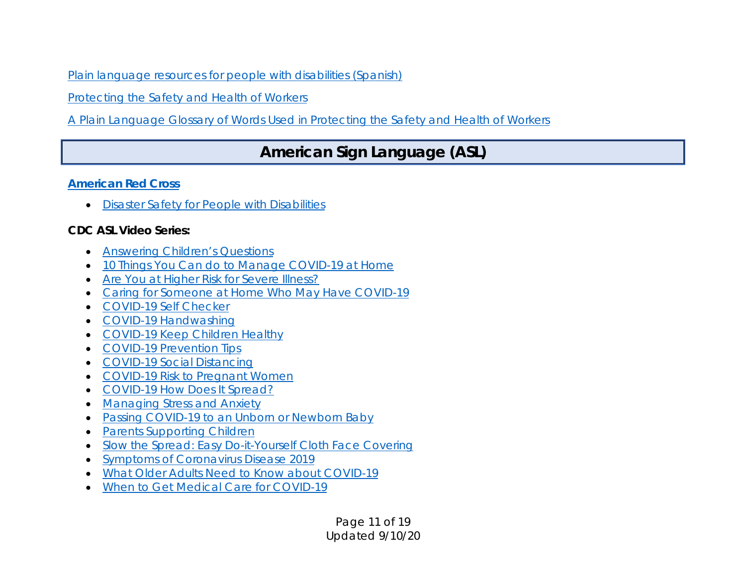[Plain language resources for people with disabilities \(Spanish\)](https://scdd.ca.gov/wp-content/uploads/sites/33/2020/03/Spanish-Green-Mountain-SA-Info-By-and-For-People-with-Disabilities.pdf)

[Protecting the Safety and Health of Workers](http://www.gmsavt.org/wp-content/uploads/2020/05/Protecting_the_Safety_and_Health_of_Workers_VOSHA_COVID_Plain_Language_GMSA.pdf)

[A Plain Language Glossary of Words Used in Protecting the Safety and Health of Workers](http://www.gmsavt.org/wp-content/uploads/2020/05/Glossary_For_Protecting_the_Safety_and_Health_of_Workers_VOSHA_COVID_Plain_Language_GMSA.pdf)

# **American Sign Language (ASL)**

#### *[American Red Cross](https://www.redcross.org/)*

• [Disaster Safety for People with Disabilities](https://www.redcross.org/get-help/how-to-prepare-for-emergencies/inclusive-preparedness-resources.html)

### *CDC ASL Video Series:*

- [Answering Children's Questions](https://www.youtube.com/watch?v=RuVnoVcCd7I&list=PLvrp9iOILTQatwnqm61jqFrsfUB4RKh6J&index=2)
- [10 Things You Can do to Manage COVID-19 at Home](https://www.youtube.com/watch?v=6zDpHJdwBvw&list=PLvrp9iOILTQatwnqm61jqFrsfUB4RKh6J&index=16)
- [Are You at Higher Risk for Severe Illness?](https://www.youtube.com/watch?v=AE9-8HVKNpA&list=PLvrp9iOILTQatwnqm61jqFrsfUB4RKh6J&index=8)
- [Caring for Someone at Home Who May Have COVID-19](https://www.youtube.com/watch?v=o2faJKVCJT8&list=PLvrp9iOILTQatwnqm61jqFrsfUB4RKh6J&index=15)
- [COVID-19 Self Checker](https://www.youtube.com/watch?v=gp4BgQqOTvM&list=PLvrp9iOILTQatwnqm61jqFrsfUB4RKh6J&index=7)
- [COVID-19 Handwashing](https://www.youtube.com/watch?v=J6XaDkMD2NM&list=PLvrp9iOILTQatwnqm61jqFrsfUB4RKh6J&index=9)
- [COVID-19 Keep Children Healthy](https://www.youtube.com/watch?v=I7UgRa38sBM&list=PLvrp9iOILTQatwnqm61jqFrsfUB4RKh6J&index=3)
- [COVID-19 Prevention Tips](https://www.youtube.com/watch?v=wkaMC2Fipgg&list=PLvrp9iOILTQatwnqm61jqFrsfUB4RKh6J&index=18)
- [COVID-19 Social Distancing](https://www.youtube.com/watch?v=3KFHhEta68o&list=PLvrp9iOILTQatwnqm61jqFrsfUB4RKh6J&index=11)
- [COVID-19 Risk to Pregnant Women](https://www.youtube.com/watch?v=s1X6_qP3lPU&list=PLvrp9iOILTQatwnqm61jqFrsfUB4RKh6J&index=5)
- [COVID-19 How Does It Spread?](https://www.youtube.com/watch?v=m4gborCUztk&list=PLvrp9iOILTQatwnqm61jqFrsfUB4RKh6J&index=6)
- [Managing Stress and Anxiety](https://www.youtube.com/watch?v=zvxT3gBp3Yk&list=PLvrp9iOILTQatwnqm61jqFrsfUB4RKh6J&index=14)
- [Passing COVID-19 to an Unborn or Newborn Baby](https://www.youtube.com/watch?v=NHyVzCoXTEg&list=PLvrp9iOILTQatwnqm61jqFrsfUB4RKh6J&index=4)
- **[Parents Supporting Children](https://www.youtube.com/watch?v=jOq-8S_k7to&list=PLvrp9iOILTQatwnqm61jqFrsfUB4RKh6J&index=13)**
- [Slow the Spread: Easy Do-it-Yourself Cloth Face Covering](https://www.youtube.com/watch?v=t9cnxxsEKpk&list=PLvrp9iOILTQatwnqm61jqFrsfUB4RKh6J&index=1)
- [Symptoms of Coronavirus Disease 2019](https://www.youtube.com/watch?v=IN_GVlbyC4Y&list=PLvrp9iOILTQatwnqm61jqFrsfUB4RKh6J&index=17)
- What [Older Adults Need to Know about COVID-19](https://www.youtube.com/watch?v=KEuEl682DUE&list=PLvrp9iOILTQatwnqm61jqFrsfUB4RKh6J&index=19)
- [When to Get Medical Care for COVID-19](https://www.youtube.com/watch?v=EUCY1Yc816Y&list=PLvrp9iOILTQatwnqm61jqFrsfUB4RKh6J)

Page 11 of 19 Updated 9/10/20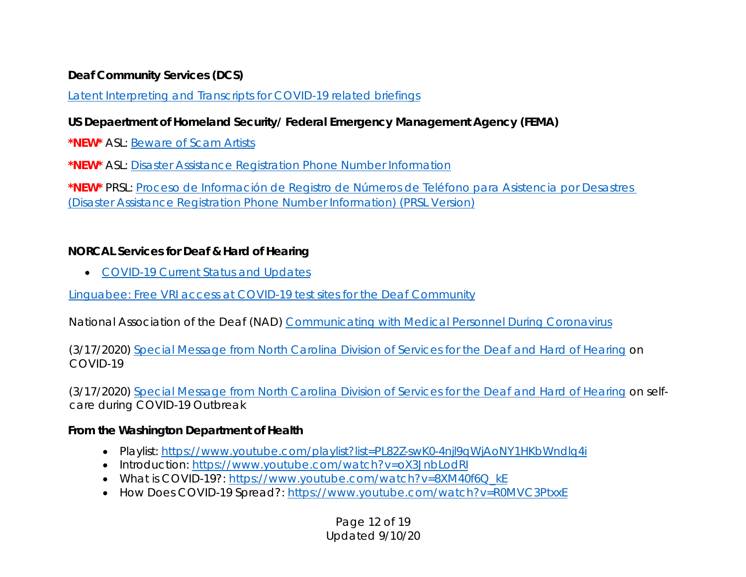#### *Deaf Community Services (DCS)*

[Latent Interpreting and Transcripts for COVID-19 related briefings](https://deafcommunityservices.org/covid19-info/)

### *US Depaertment of Homeland Security/ Federal Emergency Management Agency (FEMA)*

**\*NEW\*** ASL: [Beware of Scam Artists](https://gcc01.safelinks.protection.outlook.com/?url=https%3A%2F%2Fyoutu.be%2FEVqS709Gj_U&data=01%7C01%7CVirginia.Hartley%40CalOES.ca.gov%7Cdcbef91a13e04a103cd608d8543b7ac2%7Cebf268ae303647149f69c9fd0e9dc6b9%7C1&sdata=ht5bu4eDiUF7%2FnXHJR9Ga7TTS9nLWlrj%2FqB%2FFKpuCZ0%3D&reserved=0)

**\*NEW\*** ASL: [Disaster Assistance Registration Phone Number Information](https://gcc01.safelinks.protection.outlook.com/?url=https%3A%2F%2Fyoutu.be%2Fxl3SFH7U1b8&data=01%7C01%7CVirginia.Hartley%40CalOES.ca.gov%7Cdcbef91a13e04a103cd608d8543b7ac2%7Cebf268ae303647149f69c9fd0e9dc6b9%7C1&sdata=meWC3HAe6jsXSlZNqlITVYtX2N%2Fyf0G1cAY7gt6ehXM%3D&reserved=0)

**\*NEW\*** PRSL: [Proceso de Información de Registro de Números de Teléfono para Asistencia por Desastres](https://gcc01.safelinks.protection.outlook.com/?url=https%3A%2F%2Fyoutu.be%2FESijwBLhETw&data=01%7C01%7CVirginia.Hartley%40CalOES.ca.gov%7Cdcbef91a13e04a103cd608d8543b7ac2%7Cebf268ae303647149f69c9fd0e9dc6b9%7C1&sdata=1Gu%2B9Wb1XiFRZYgjN4todr%2FlCOgvFE%2FxlWZI4PKg2uo%3D&reserved=0) [\(Disaster Assistance Registration Phone Number Information\) \(PRSL Version\)](https://gcc01.safelinks.protection.outlook.com/?url=https%3A%2F%2Fyoutu.be%2FESijwBLhETw&data=01%7C01%7CVirginia.Hartley%40CalOES.ca.gov%7Cdcbef91a13e04a103cd608d8543b7ac2%7Cebf268ae303647149f69c9fd0e9dc6b9%7C1&sdata=1Gu%2B9Wb1XiFRZYgjN4todr%2FlCOgvFE%2FxlWZI4PKg2uo%3D&reserved=0)

#### *NORCAL Services for Deaf & Hard of Hearing*

• [COVID-19 Current Status and Updates](https://www.norcalcenter.org/coronavirus/)

[Linguabee: Free VRI access at COVID-19 test sites for the Deaf Community](https://www.linguabee.com/covid19)

National Association of the Deaf (NAD) [Communicating with Medical Personnel During Coronavirus](https://www.nad.org/2020/03/28/communicating-with-medical-personnel-during-coronavirus/)

(3/17/2020) [Special Message from North Carolina Division of Services for the Deaf and Hard of Hearing](https://www.youtube.com/watch?v=ZvzDRwARoYg&feature=youtu.be&fbclid=IwAR3vwRXRNYW4bwzZGomscZDwweO9zbMDEwcqUinG6LvT6U3uR7Za5QPi3nk) on COVID-19

(3/17/2020) [Special Message from North Carolina Division of Services for the Deaf and Hard of Hearing](https://www.youtube.com/watch?v=ooBRqfZjKhQ&feature=youtu.be&fbclid=IwAR0oMa5W_7_NJJ5GSQdZnDYXoA_Y-9sjZFZWjgb97rPB5MWM8ODEkW1va54) on selfcare during COVID-19 Outbreak

#### *From the Washington Department of Health*

- Playlist: [https://www.youtube.com/playlist?list=PL82Z-swK0-4njl9qWjAoNY1HKbWndlq4i](https://gcc01.safelinks.protection.outlook.com/?url=https%3A%2F%2Furldefense.proofpoint.com%2Fv2%2Furl%3Fu%3Dhttps-3A__www.youtube.com_playlist-3Flist-3DPL82Z-2DswK0-2D4njl9qWjAoNY1HKbWndlq4i%26d%3DDwMFaQ%26c%3DsdnEM9SRGFuMt5z5w3AhsPNahmNicq64TgF1JwNR0cs%26r%3DnN-jUs1npGoUm9-PUkzw1z5Qq7rgyFveGdbXsrHXlp0%26m%3DB6zmC8ozWrwN1pIQsRsQlPBnsSE0yfIjgM2ZKVugXr4%26s%3DOJj8olHA8q2dtghLRxgMkxGXCGkqUApEtBp3BvScIUg%26e%3D&data=01%7C01%7Cbudge.currier%40caloes.ca.gov%7C6ebc4699e26643740cac08d7d1cac8da%7Cebf268ae303647149f69c9fd0e9dc6b9%7C1&sdata=oQMLJndIHRZJ5o8yya82fNUtP5s%2FaHaAGJzsEJZdH3A%3D&reserved=0)
- Introduction: [https://www.youtube.com/watch?v=oX3JnbLodRI](https://gcc01.safelinks.protection.outlook.com/?url=https%3A%2F%2Furldefense.proofpoint.com%2Fv2%2Furl%3Fu%3Dhttps-3A__www.youtube.com_watch-3Fv-3DoX3JnbLodRI%26d%3DDwMFaQ%26c%3DsdnEM9SRGFuMt5z5w3AhsPNahmNicq64TgF1JwNR0cs%26r%3DnN-jUs1npGoUm9-PUkzw1z5Qq7rgyFveGdbXsrHXlp0%26m%3DB6zmC8ozWrwN1pIQsRsQlPBnsSE0yfIjgM2ZKVugXr4%26s%3Dwf8Z7cmzo5sx5QU1Kh7R7bkrR3mI_kgquzHUQKQPPNk%26e%3D&data=01%7C01%7Cbudge.currier%40caloes.ca.gov%7C6ebc4699e26643740cac08d7d1cac8da%7Cebf268ae303647149f69c9fd0e9dc6b9%7C1&sdata=32mH6CVENA%2FTdFNjoi6aTuta4vv2wxv%2FS0uIvXa1GEQ%3D&reserved=0)
- What is COVID-19?: https://www.youtube.com/watch?v=8XM40f6Q kE
- How Does COVID-19 Spread?: [https://www.youtube.com/watch?v=R0MVC3PtxxE](https://gcc01.safelinks.protection.outlook.com/?url=https%3A%2F%2Furldefense.proofpoint.com%2Fv2%2Furl%3Fu%3Dhttps-3A__www.youtube.com_watch-3Fv-3DR0MVC3PtxxE%26d%3DDwMFaQ%26c%3DsdnEM9SRGFuMt5z5w3AhsPNahmNicq64TgF1JwNR0cs%26r%3DnN-jUs1npGoUm9-PUkzw1z5Qq7rgyFveGdbXsrHXlp0%26m%3DB6zmC8ozWrwN1pIQsRsQlPBnsSE0yfIjgM2ZKVugXr4%26s%3Dft1D_vZ3t5MDEaSElxYmQMhckSxDurYyclYfkc9wFmQ%26e%3D&data=01%7C01%7Cbudge.currier%40caloes.ca.gov%7C6ebc4699e26643740cac08d7d1cac8da%7Cebf268ae303647149f69c9fd0e9dc6b9%7C1&sdata=hE1XINdRfiKG4cmKJ3t2kEhcXGVhmmbUOBB%2BFxLlIDo%3D&reserved=0)

#### Page 12 of 19 Updated 9/10/20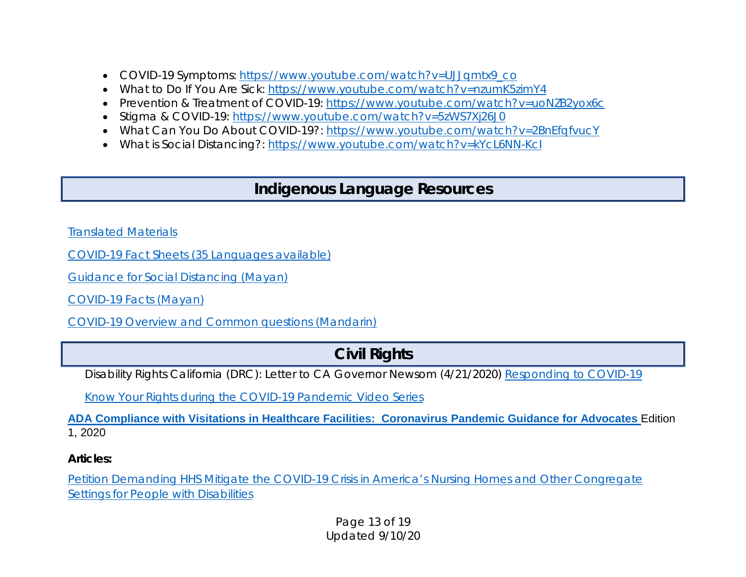- COVID-19 Symptoms: [https://www.youtube.com/watch?v=UJJqmtx9\\_co](https://gcc01.safelinks.protection.outlook.com/?url=https%3A%2F%2Furldefense.proofpoint.com%2Fv2%2Furl%3Fu%3Dhttps-3A__www.youtube.com_watch-3Fv-3DUJJqmtx9-5Fco%26d%3DDwMFaQ%26c%3DsdnEM9SRGFuMt5z5w3AhsPNahmNicq64TgF1JwNR0cs%26r%3DnN-jUs1npGoUm9-PUkzw1z5Qq7rgyFveGdbXsrHXlp0%26m%3DB6zmC8ozWrwN1pIQsRsQlPBnsSE0yfIjgM2ZKVugXr4%26s%3Dw5iKzv-f0BUmPZBkEBQt1clce-u_Rrcl9_UOEhR-KhU%26e%3D&data=01%7C01%7Cbudge.currier%40caloes.ca.gov%7C6ebc4699e26643740cac08d7d1cac8da%7Cebf268ae303647149f69c9fd0e9dc6b9%7C1&sdata=mc%2BzdMWXGkT34bYvt6BizYNrroAd3eSm3lJOJHf9yPY%3D&reserved=0)
- What to Do If You Are Sick: [https://www.youtube.com/watch?v=nzumK5zimY4](https://gcc01.safelinks.protection.outlook.com/?url=https%3A%2F%2Furldefense.proofpoint.com%2Fv2%2Furl%3Fu%3Dhttps-3A__www.youtube.com_watch-3Fv-3DnzumK5zimY4%26d%3DDwMFaQ%26c%3DsdnEM9SRGFuMt5z5w3AhsPNahmNicq64TgF1JwNR0cs%26r%3DnN-jUs1npGoUm9-PUkzw1z5Qq7rgyFveGdbXsrHXlp0%26m%3DB6zmC8ozWrwN1pIQsRsQlPBnsSE0yfIjgM2ZKVugXr4%26s%3Dh0V3abzTVdA1wn1Qb9KfijvAqVAclqsxF68Gg9Esgo0%26e%3D&data=01%7C01%7Cbudge.currier%40caloes.ca.gov%7C6ebc4699e26643740cac08d7d1cac8da%7Cebf268ae303647149f69c9fd0e9dc6b9%7C1&sdata=%2Fj2H%2FztowOsQRKQmjk2uuhHKZs6h7VSpgakJLn91pxs%3D&reserved=0)
- Prevention & Treatment of COVID-19: [https://www.youtube.com/watch?v=uoNZB2yox6c](https://gcc01.safelinks.protection.outlook.com/?url=https%3A%2F%2Furldefense.proofpoint.com%2Fv2%2Furl%3Fu%3Dhttps-3A__www.youtube.com_watch-3Fv-3DuoNZB2yox6c%26d%3DDwMFaQ%26c%3DsdnEM9SRGFuMt5z5w3AhsPNahmNicq64TgF1JwNR0cs%26r%3DnN-jUs1npGoUm9-PUkzw1z5Qq7rgyFveGdbXsrHXlp0%26m%3DB6zmC8ozWrwN1pIQsRsQlPBnsSE0yfIjgM2ZKVugXr4%26s%3DKpzjcjhXAGAkWx5lhPbCfYYogNkBoNwzCbb5NAo3CoA%26e%3D&data=01%7C01%7Cbudge.currier%40caloes.ca.gov%7C6ebc4699e26643740cac08d7d1cac8da%7Cebf268ae303647149f69c9fd0e9dc6b9%7C1&sdata=IFmAgHujJgng9TOMz34YdMYHYR1ssUU7aAliZJwAEIo%3D&reserved=0)
- Stigma & COVID-19: [https://www.youtube.com/watch?v=5zWS7Xj26J0](https://gcc01.safelinks.protection.outlook.com/?url=https%3A%2F%2Furldefense.proofpoint.com%2Fv2%2Furl%3Fu%3Dhttps-3A__www.youtube.com_watch-3Fv-3D5zWS7Xj26J0%26d%3DDwMFaQ%26c%3DsdnEM9SRGFuMt5z5w3AhsPNahmNicq64TgF1JwNR0cs%26r%3DnN-jUs1npGoUm9-PUkzw1z5Qq7rgyFveGdbXsrHXlp0%26m%3DB6zmC8ozWrwN1pIQsRsQlPBnsSE0yfIjgM2ZKVugXr4%26s%3DNsCS5lnYVPKXZBiO5eKKuPGjKJnqvTiPQduz_RHASrA%26e%3D&data=01%7C01%7Cbudge.currier%40caloes.ca.gov%7C6ebc4699e26643740cac08d7d1cac8da%7Cebf268ae303647149f69c9fd0e9dc6b9%7C1&sdata=ZdpGOXgMJ6oquLD%2BQPtFua0JITDfgkCHWhKRDIJrMLA%3D&reserved=0)
- What Can You Do About COVID-19?: [https://www.youtube.com/watch?v=2BnEfqfvucY](https://gcc01.safelinks.protection.outlook.com/?url=https%3A%2F%2Furldefense.proofpoint.com%2Fv2%2Furl%3Fu%3Dhttps-3A__www.youtube.com_watch-3Fv-3D2BnEfqfvucY%26d%3DDwMFaQ%26c%3DsdnEM9SRGFuMt5z5w3AhsPNahmNicq64TgF1JwNR0cs%26r%3DnN-jUs1npGoUm9-PUkzw1z5Qq7rgyFveGdbXsrHXlp0%26m%3DB6zmC8ozWrwN1pIQsRsQlPBnsSE0yfIjgM2ZKVugXr4%26s%3DSmK-kC34EHFzxPpO4muowyqUe4GTBSpTd7mQaJjZihM%26e%3D&data=01%7C01%7Cbudge.currier%40caloes.ca.gov%7C6ebc4699e26643740cac08d7d1cac8da%7Cebf268ae303647149f69c9fd0e9dc6b9%7C1&sdata=aYhozUiIdb61flqM2BN%2BCaB7nlBHaO03uIKD%2F5IaNdo%3D&reserved=0)
- What is Social Distancing?: [https://www.youtube.com/watch?v=kYcL6NN-KcI](https://gcc01.safelinks.protection.outlook.com/?url=https%3A%2F%2Furldefense.proofpoint.com%2Fv2%2Furl%3Fu%3Dhttps-3A__www.youtube.com_watch-3Fv-3DkYcL6NN-2DKcI%26d%3DDwMFaQ%26c%3DsdnEM9SRGFuMt5z5w3AhsPNahmNicq64TgF1JwNR0cs%26r%3DnN-jUs1npGoUm9-PUkzw1z5Qq7rgyFveGdbXsrHXlp0%26m%3DB6zmC8ozWrwN1pIQsRsQlPBnsSE0yfIjgM2ZKVugXr4%26s%3DfMocqH4X8vUKGo-CNta9a9hpoYUtyWbDmjLrNqJ_Ae4%26e%3D&data=01%7C01%7Cbudge.currier%40caloes.ca.gov%7C6ebc4699e26643740cac08d7d1cac8da%7Cebf268ae303647149f69c9fd0e9dc6b9%7C1&sdata=6uRmj3c7mMwudmQyk6SeXAJfNtXbeB%2B73c3kUK9CXaw%3D&reserved=0)

# **Indigenous Language Resources**

[Translated Materials](https://coronavirus.dc.gov/translated)

[COVID-19 Fact Sheets \(35 Languages available\)](https://covid19healthliteracyproject.com/#languages)

[Guidance for Social Distancing \(Mayan\)](https://www.youtube.com/watch?v=qfe6RmzlxEc)

[COVID-19 Facts \(Mayan\)](https://www.youtube.com/watch?v=eYtK2AiW8M8&t=33s)

[COVID-19 Overview and Common questions \(Mandarin\)](https://www.nhsinform.scot/translations/languages/chinese/illnesses-and-conditions/coronavirus-covid-19)

# **Civil Rights**

Disability Rights California (DRC): Letter to CA Governor Newsom (4/21/2020) [Responding to COVID-19](https://www.disabilityrightsca.org/post/drc-letter-to-governor-newsom-responding-to-coronavirus-covid-19-04-20-2020)

[Know Your Rights during the COVID-19 Pandemic Video Series](https://www.ndrn.org/resource/know-your-rights-during-covid-19-series/)

**[ADA Compliance with Visitations in Healthcare Facilities:](https://gcc01.safelinks.protection.outlook.com/?url=http%3A%2F%2Fwww.jik.com%2Fpubs%2FCovid-visitations.pdf&data=01%7C01%7Cvance.taylor%40caloes.ca.gov%7C998175b463dd4f6f4e4108d82de68266%7Cebf268ae303647149f69c9fd0e9dc6b9%7C1&sdata=BScmjm8Oz1zLUHzfy46QRSczCVUj43S8jwmqDxVROpg%3D&reserved=0) Coronavirus Pandemic Guidance for Advocates** Edition 1, 2020

*Articles:*

[Petition Demanding HHS Mitigate the COVID-19 Crisis in America's Nursing Homes and Other Congregate](https://www.aclu.org/press-releases/aclu-seiu-disability-rights-organizations-file-petition-demanding-hhs-mitigate-covid)  [Settings for People with](https://www.aclu.org/press-releases/aclu-seiu-disability-rights-organizations-file-petition-demanding-hhs-mitigate-covid) Disabilities

> Page 13 of 19 Updated 9/10/20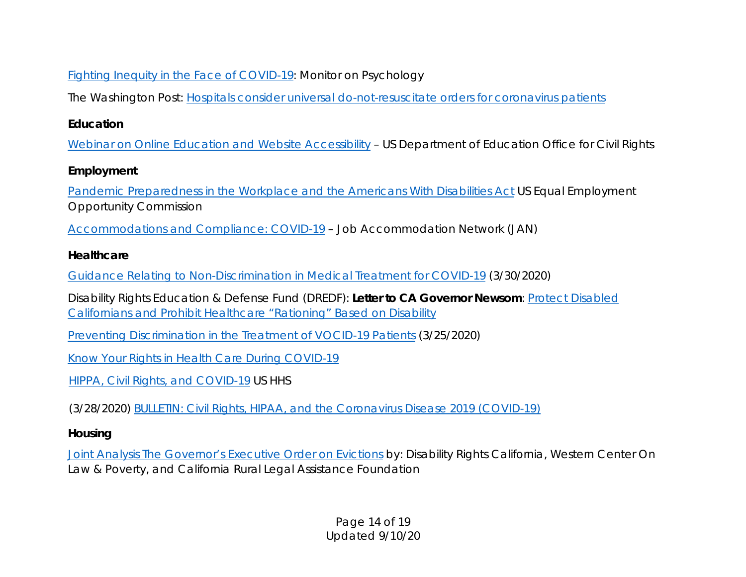## [Fighting Inequity in the Face of COVID-19:](https://www.apa.org/monitor/2020/2020-06-monitor.pdf) Monitor on Psychology

The Washington Post: [Hospitals consider universal do-not-resuscitate orders for coronavirus patients](https://www.washingtonpost.com/health/2020/03/25/coronavirus-patients-do-not-resucitate/)

## *Education*

[Webinar on Online Education and Website Accessibility](https://gcc01.safelinks.protection.outlook.com/?url=https%3A%2F%2Fwww.youtube.com%2Fwatch%3Fv%3DDCMLk4cES6A&data=01%7C01%7Cvirginia.hartley%40caloes.ca.gov%7Cd9932535b4194f93689708d802980d25%7Cebf268ae303647149f69c9fd0e9dc6b9%7C1&sdata=%2FFNNgy1GvYyYuS4dekilM5POUdtrlF7mCCZjf%2F1fJ0Y%3D&reserved=0) - US Department of Education Office for Civil Rights

## *Employment*

Pandemic Preparedness [in the Workplace and the Americans With Disabilities Act](https://www.eeoc.gov/facts/pandemic_flu.html) US Equal Employment Opportunity Commission

[Accommodations and Compliance: COVID-19](https://askjan.org/topics/COVID-19.cfm) – Job Accommodation Network (JAN)

### *Healthcare*

[Guidance Relating to Non-Discrimination in Medical Treatment for COVID-19](https://www.dhcs.ca.gov/Documents/COVID-19/Joint-Bullletin-Medical-Treatment-for-COVID-19-033020.pdf) (3/30/2020)

Disability Rights Education & Defense Fund (DREDF): *Letter to CA Governor Newsom*: [Protect Disabled](https://dredf.org/letter-to-governor-newsom-prohibit-healthcare-rationing-based-on-disability/)  [Californians and Prohibit Healthcare "Rationing" Based on Disability](https://dredf.org/letter-to-governor-newsom-prohibit-healthcare-rationing-based-on-disability/)

[Preventing Discrimination in the Treatment of VOCID-19 Patients](https://dredf.org/the-illegality-of-medical-rationing-on-the-basis-of-disability/) (3/25/2020)

[Know Your Rights in Health Care During COVID-19](https://drive.google.com/file/d/1ccRZItXaUbXflbSDp3enj-79k3J0L_6L/view)

[HIPPA, Civil Rights, and COVID-19](https://www.hhs.gov/hipaa/for-professionals/special-topics/hipaa-covid19/index.html) US HHS

(3/28/2020) [BULLETIN: Civil Rights, HIPAA, and the Coronavirus Disease 2019 \(COVID-19\)](https://www.hhs.gov/sites/default/files/ocr-bulletin-3-28-20.pdf)

## *Housing*

[Joint Analysis The Governor's Executive Order on Evictions](https://www.disabilityrightsca.org/post/joint-analysis-the-governors-executive-order-on-evictions) by: Disability Rights California, Western Center On Law & Poverty, and California Rural Legal Assistance Foundation

> Page 14 of 19 Updated 9/10/20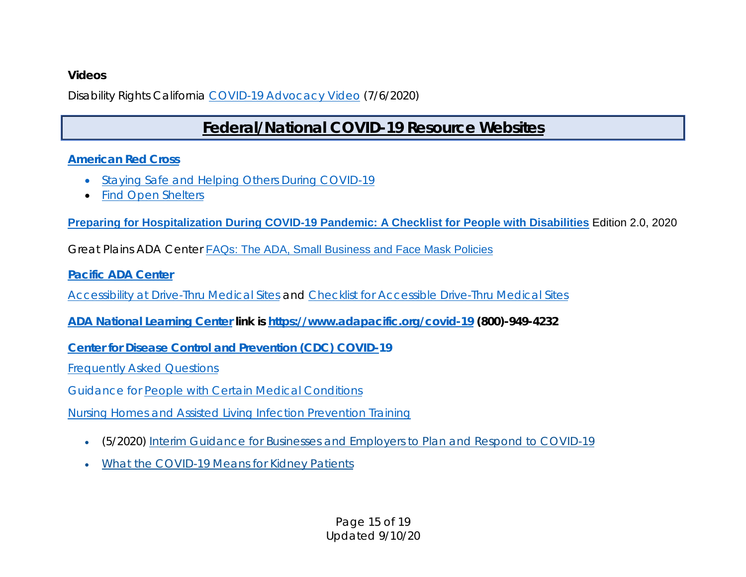#### *Videos*

Disability Rights California [COVID-19 Advocacy Video](https://www.youtube.com/watch?v=nY3y9_TLWVw&feature=share&fbclid=IwAR18DZeJy7GXXmK6rmxEzTB07frEO0PwGuYVSEkEqkO-8QnGlOtUo6T7ukI) (7/6/2020)

# **Federal/National COVID-19 Resource Websites**

#### *[American Red Cross](https://www.redcross.org/)*

- [Staying Safe and Helping Others During COVID-19](https://www.redcross.org/get-help/how-to-prepare-for-emergencies/types-of-emergencies/coronavirus-safety.html)
- [Find Open Shelters](http://redcrossshelters.com/)

**[Preparing for Hospitalization During COVID-19 Pandemic: A Checklist for People with Disabilities](https://gcc01.safelinks.protection.outlook.com/?url=http%3A%2F%2Fwww.jik.com%2Fpubs%2FHospitalhave2go.pdf&data=01%7C01%7Cvance.taylor%40caloes.ca.gov%7C998175b463dd4f6f4e4108d82de68266%7Cebf268ae303647149f69c9fd0e9dc6b9%7C1&sdata=oN%2FtA4btT9A22jKt%2Fh7%2F%2BrosmIvi1OChqEpphqcBxL8%3D&reserved=0)** Edition 2.0, 2020

Great Plains ADA Center [FAQs: The ADA, Small Business and Face Mask Policies](https://www.gpadacenter.org/faqs-ada-small-business-and-face-mask-policies)

*[Pacific ADA Center](https://www.adapacific.org/)*

[Accessibility at Drive-Thru Medical Sites](https://www.adapacific.org/assets/documents/accessibility-at-drive-thru-medical-sites-region-9.pdf) and [Checklist for Accessible Drive-Thru Medical Sites](https://www.adapacific.org/assets/documents/checklist_accessible-drive-thru-medical-sites.pdf)

*ADA National Learning Center link is<https://www.adapacific.org/covid-19> (800)-949-4232*

*[Center for Disease Control and Prevention \(CDC\)](https://www.cdc.gov/coronavirus/2019-nCoV/index.html) COVID-19*

[Frequently Asked Questions](https://www.cdc.gov/coronavirus/2019-ncov/faq.html)

Guidance for [People with Certain Medical Conditions](https://www.cdc.gov/coronavirus/2019-ncov/need-extra-precautions/people-with-medical-conditions.html)

Nursing Homes [and Assisted Living Infection Prevention Training](https://www.cdc.gov/longtermcare/training.html#anchor_1591649290523)

- (5/2020) [Interim Guidance for Businesses and Employers to Plan and Respond to COVID-19](https://www.cdc.gov/coronavirus/2019-ncov/community/guidance-business-response.html)
- [What the COVID-19 Means for Kidney Patients](https://www.dialysispatients.org/news/coronavirus-disease-covid-19-information-for-dialysis-patients/)

Page 15 of 19 Updated 9/10/20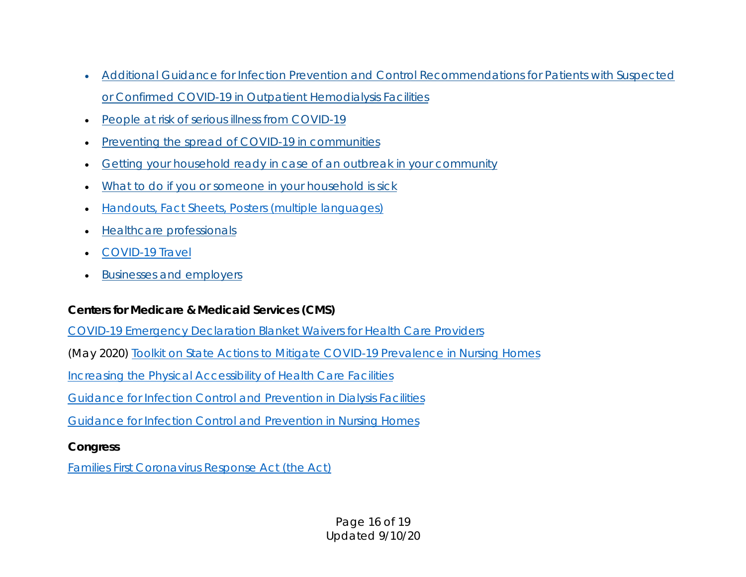- [Additional Guidance for Infection Prevention and Control Recommendations for Patients with Suspected](https://www.cdc.gov/coronavirus/2019-ncov/hcp/dialysis.html?CDC_AA_refVal=https%3A%2F%2Fwww.cdc.gov%2Fcoronavirus%2F2019-ncov%2Fhealthcare-facilities%2Fdialysis.html)  [or Confirmed COVID-19 in Outpatient Hemodialysis Facilities](https://www.cdc.gov/coronavirus/2019-ncov/hcp/dialysis.html?CDC_AA_refVal=https%3A%2F%2Fwww.cdc.gov%2Fcoronavirus%2F2019-ncov%2Fhealthcare-facilities%2Fdialysis.html)
- People at [risk of serious illness from COVID-19](https://www.cdc.gov/coronavirus/2019-ncov/specific-groups/high-risk-complications.html)
- Preventing [the spread of COVID-19 in communities](https://www.cdc.gov/coronavirus/2019-ncov/community/index.html)
- [Getting your household ready in case of an outbreak in your community](https://www.cdc.gov/coronavirus/2019-ncov/community/home/index.html?CDC_AA_refVal=https%3A%2F%2Fwww.cdc.gov%2Fcoronavirus%2F2019-ncov%2Fcommunity%2Fget-your-household-ready-for-COVID-19.html)
- [What to do if you or someone in your household is sick](https://www.cdc.gov/coronavirus/2019-ncov/protect/what-to-do-if-sick.html)
- [Handouts, Fact Sheets, Posters \(multiple languages\)](https://www.cdc.gov/coronavirus/2019-ncov/communication/factsheets.html)
- [Healthcare professionals](https://www.cdc.gov/coronavirus/2019-nCoV/hcp/index.html)
- [COVID-19 Travel](https://www.cdc.gov/coronavirus/2019-ncov/travelers/index.html)
- [Businesses and employers](https://www.cdc.gov/coronavirus/2019-ncov/specific-groups/guidance-business-response.html)

### *Centers for Medicare & Medicaid Services (CMS)*

[COVID-19 Emergency Declaration Blanket Waivers for Health Care Providers](https://www.cms.gov/files/document/summary-covid-19-emergency-declaration-waivers.pdf)

(May 2020) [Toolkit on State Actions to Mitigate COVID-19 Prevalence in Nursing Homes](https://www.cms.gov/files/document/covid-toolkit-states-mitigate-covid-19-nursing-homes.pdf)

[Increasing the Physical Accessibility of Health Care Facilities](https://www.cms.gov/About-CMS/Agency-Information/OMH/Downloads/Issue-Brief-Physical-AccessibilityBrief.pdf)

[Guidance for Infection Control and Prevention in Dialysis Facilities](https://www.cms.gov/medicareprovider-enrollment-and-certificationsurveycertificationgeninfopolicy-and/guidance-infection-control-and-prevention-coronavirus-disease-2019-covid-19-dialysis-facilities)

[Guidance for Infection Control and Prevention in Nursing Homes](https://www.cms.gov/medicareprovider-enrollment-and-certificationsurveycertificationgeninfopolicy-and/guidance-infection-control-and-prevention-coronavirus-disease-2019-covid-19-nursing-homes-revised)

#### *Congress*

[Families First Coronavirus Response Act \(the Act\)](https://www.congress.gov/116/bills/hr6201/BILLS-116hr6201enr.pdf)

Page 16 of 19 Updated 9/10/20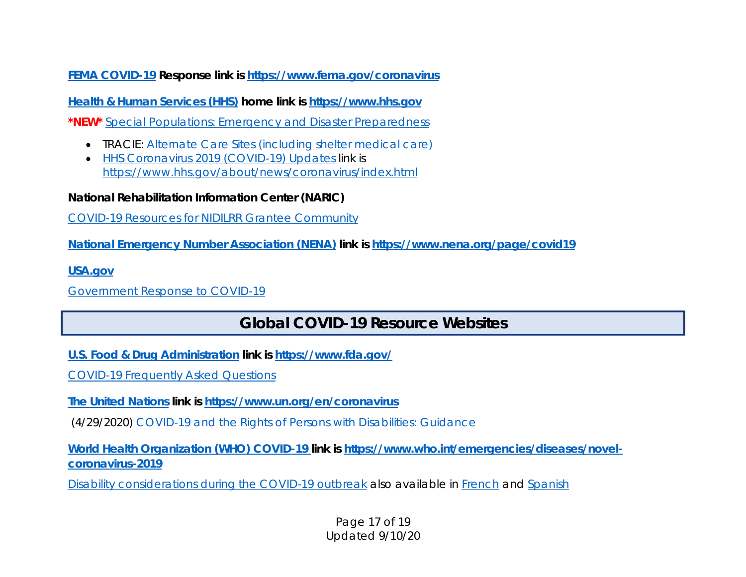*FEMA COVID-19 Response link is<https://www.fema.gov/coronavirus>*

*[Health & Human Services \(HHS\)](https://www.hhs.gov/) home link is [https://www.hhs.gov](https://www.hhs.gov/)*

**\*NEW\*** [Special Populations: Emergency and Disaster Preparedness](https://www.sis.nlm.nih.gov/outreach/specialpopulationsanddisasters.html)

- TRACIE: [Alternate Care Sites \(including shelter medical care\)](https://asprtracie.hhs.gov/technical-resources/48/alternate-care-sites-including-shelter-medical-care/47)
- [HHS Coronavirus 2019 \(COVID-19\) Updates](https://www.hhs.gov/about/news/coronavirus/index.html) link is <https://www.hhs.gov/about/news/coronavirus/index.html>

*National Rehabilitation Information Center (NARIC)*

[COVID-19 Resources for NIDILRR Grantee Community](https://naricspotlight.wordpress.com/2020/04/03/covid19-resources-from-the-nidilrr-grantee-community/)

*National Emergency Number Association (NENA) link is [https://www.nena.org/page/covid19](https://gcc01.safelinks.protection.outlook.com/?url=https%3A%2F%2Fwww.nena.org%2Fpage%2Fcovid19&data=01%7C01%7CDonna.Pena%40caloes.ca.gov%7Cb0270f5573f4493fd04208d7cc4e744f%7Cebf268ae303647149f69c9fd0e9dc6b9%7C1&sdata=EhYXaocPeXVwgQAsNM%2B%2BLU9jvKMAlRku2Npn28F3imQ%3D&reserved=0)*

*[USA.gov](https://www.usa.gov/)*

[Government Response to COVID-19](https://www.usa.gov/coronavirus)

# **Global COVID-19 Resource Websites**

*[U.S. Food & Drug Administration](https://www.fda.gov/) link is<https://www.fda.gov/>*

[COVID-19 Frequently Asked Questions](https://www.fda.gov/emergency-preparedness-and-response/coronavirus-disease-2019-covid-19/covid-19-frequently-asked-questions)

*[The United Nations](file://Intranet.Calema.ca.gov/Share/OAFN/Activations/2020%20COVID%2019/Resources/The%20United%20Nations) link is<https://www.un.org/en/coronavirus>*

(4/29/2020) [COVID-19 and the Rights of Persons with Disabilities: Guidance](https://www.ohchr.org/Documents/Issues/Disability/COVID-19_and_The_Rights_of_Persons_with_Disabilities.pdf)

*[World Health Organization \(WHO\)](https://www.who.int/emergencies/diseases/novel-coronavirus-2019) COVID-19 link is [https://www.who.int/emergencies/diseases/novel](https://www.who.int/emergencies/diseases/novel-coronavirus-2019)[coronavirus-2019](https://www.who.int/emergencies/diseases/novel-coronavirus-2019)*

[Disability considerations during the COVID-19 outbreak](https://www.who.int/who-documents-detail/disability-considerations-during-the-covid-19-outbreak) also available in [French](https://www.who.int/docs/default-source/documents/disability/french-covid-19-disability-briefing-rev1.pdf?sfvrsn=ea4aa6eb_2) and [Spanish](https://www.who.int/docs/default-source/documents/disability/spanish-covid-19-disability-briefing.pdf?sfvrsn=30d726b1_2)

Page 17 of 19 Updated 9/10/20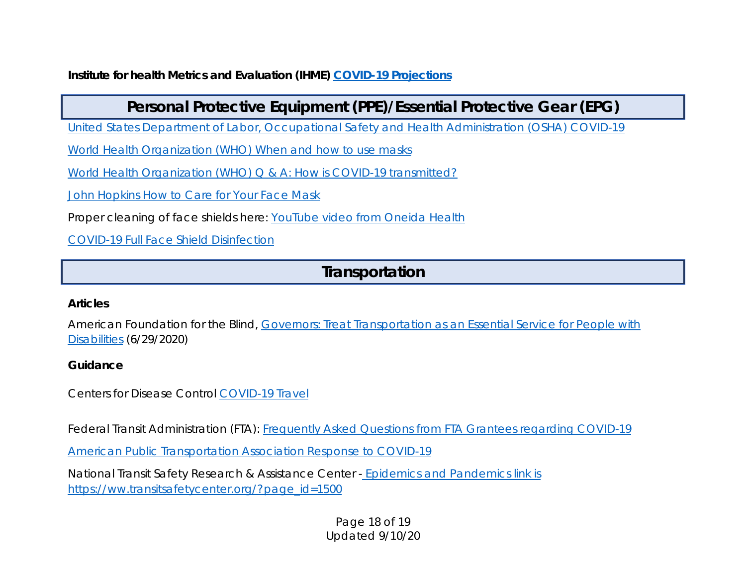*Institute for health Metrics and Evaluation (IHME) [COVID-19 Projections](https://covid19.healthdata.org/projections)*

# **Personal Protective Equipment (PPE)/Essential Protective Gear (EPG)**

[United States Department of Labor, Occupational Safety and Health Administration \(OSHA\) COVID-19](https://www.osha.gov/SLTC/covid-19/)

[World Health Organization \(WHO\) When and how to use masks](https://www.who.int/emergencies/diseases/novel-coronavirus-2019/advice-for-public/when-and-how-to-use-masks?gclid=Cj0KCQjw0rr4BRCtARIsAB0_48M0TQ4xfzxaITOTMLZ_iQKNcT3Ski-xEx_vWz5-5rqrpDGOFiqC2KEaAqFXEALw_wcB)

World Health Organization (WHO) Q & A: How is COVID-19 transmitted?

[John Hopkins How to Care for Your Face Mask](https://www.hopkinsmedicine.org/health/conditions-and-diseases/coronavirus/coronavirus-how-to-care-for-your-face-mask)

Proper cleaning of face shields here: [YouTube video from Oneida Health](https://www.youtube.com/watch?v=nBC65j_AiwU)

[COVID-19 Full Face Shield](https://www.samc.com/assets/documents/covid19/nursing/covid-19-full-face-shield-sanitization-final-_03_17_20.pdf) Disinfection

# **Transportation**

#### *Articles*

American Foundation for the Blind, [Governors: Treat Transportation as an Essential Service for People with](https://www.afb.org/blog/entry/joint-letter-governors-transportation-reopening)  [Disabilities](https://www.afb.org/blog/entry/joint-letter-governors-transportation-reopening) (6/29/2020)

### *Guidance*

Centers for Disease Control [COVID-19 Travel](https://www.cdc.gov/coronavirus/2019-ncov/travelers/index.html)

Federal Transit Administration (FTA): [Frequently Asked Questions from FTA Grantees regarding COVID-19](https://www.transit.dot.gov/frequently-asked-questions-fta-grantees-regarding-coronavirus-disease-2019-covid-19)

[American Public Transportation Association](https://www.apta.com/public-transit-response-to-coronavirus/) Response to COVID-19

National Transit Safety Research & Assistance Center - [Epidemics and Pandemics](https://ww.transitsafetycenter.org/?page_id=1500) link is [https://ww.transitsafetycenter.org/?page\\_id=1500](https://ww.transitsafetycenter.org/?page_id=1500)

> Page 18 of 19 Updated 9/10/20